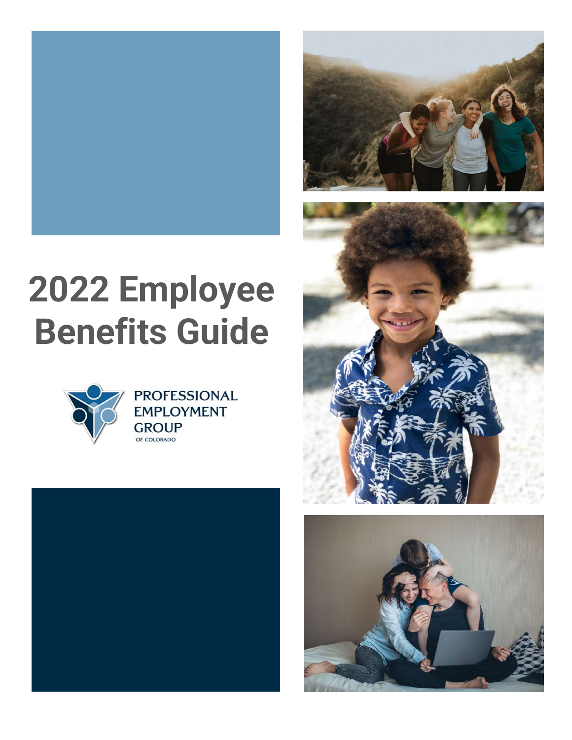

# 2022 Employee Benefits Guide



**PROFESSIONAL EMPLOYMENT GROUP** OF COLORADO





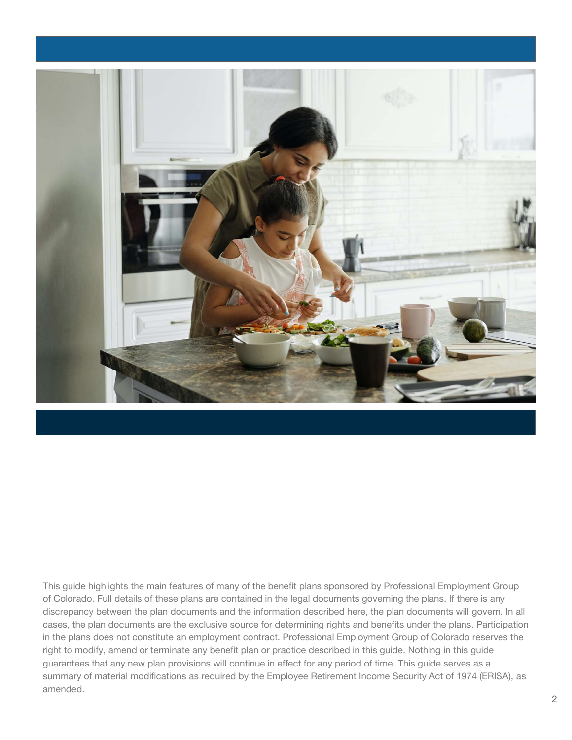

This guide highlights the main features of many of the benefit plans sponsored by Professional Employment Group of Colorado. Full details of these plans are contained in the legal documents governing the plans. If there is any discrepancy between the plan documents and the information described here, the plan documents will govern. In all cases, the plan documents are the exclusive source for determining rights and benefits under the plans. Participation in the plans does not constitute an employment contract. Professional Employment Group of Colorado reserves the right to modify, amend or terminate any benefit plan or practice described in this guide. Nothing in this guide guarantees that any new plan provisions will continue in effect for any period of time. This guide serves as a summary of material modifications as required by the Employee Retirement Income Security Act of 1974 (ERISA), as amended.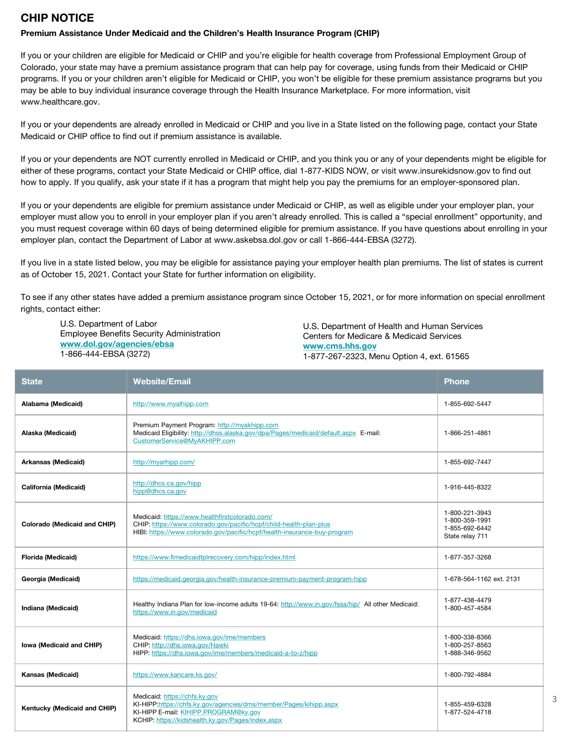**CHIP NOTICE**<br>Premium Assistance Under Medicaid and the Children's Health Insurance Program (<br>If you or your children are eligible for Medicaid or CHIP and you're eligible for health cover<br>Colorado, your state may have a p **CHIP NOTICE**<br>Premium Assistance Under Medicaid and the Children's Health Insurance Program (CHIP)<br>If you or your children are eligible for Medicaid or CHIP and you're eligible for health coverage from Professional Employm If you or your children are eligible for Medicaid or CHIP and you're eligible for health coverage from Professional Employment Group of **CHIP NOTICE**<br>Premium Assistance Under Medicaid and the Children's Health Insurance Program (CHIP)<br>If you or your children are eligible for Medicaid or CHIP and you're eligible for health coverage, using funds from their M programs. If you or your children aren't eligible for Medicaid or CHIP, you won't be eligible for these premium assistance programs but you may be able to buy individual insurance coverage through the Health Insurance Marketplace. For more information, visit www.healthcare.gov. **CHIP NOTICE**<br>If you or your children are eligible for Medicaid or CHIP and you're eligible for health coverage from Professional Employment Group of<br>If you or your children are eligible for Medicaid or CHIP and you're eli **CHIP NOTICE**<br>If you or your children are eligible for Medicaid or CHIP and you're eligible for health rowerage from Professional Employment Group of<br>Colorado, your state may have a premium assistance program that can help **CHIP NOTICE**<br>Premium Assistance Under Medicaid and the Children's Health Insurance Program (CHIP)<br>If you or your children are eligible for Medicaid or CHIP and you're eligible for health coverage from Professional Employm

Medicaid or CHIP office to find out if premium assistance is available.

you must request coverage within 60 days of being determined eligible for premium assistance. If you have questions about enrolling in your employer plan, contact the Department of Labor at www.askebsa.dol.gov or call 1-866-444-EBSA (3272). Colorado, your tatate may have a premium assistance program that can help pay for cowerage. using functional or CHIP<br>programs. If you or your children aren't eligible for Medical or CHIP and you troth eligible for these pr I.es mannepheter entities meantalling right.<br>In the in a State listed on the following page, contact your State<br>and you think you or any of your dependents might be eligible for<br>-877-KIDS NOW, or visit www.insurekidsnow.go I live in a State listed on the following page, contact your State<br>
and you think you or any of your dependents might be eligible for<br>
-877-KIDS NOW, or visit www.insurekidsnow.gov to find out<br>
p you pay the premiums for a

|                                                                                | If you or your dependents are aiready enrolled in Medicald or CHIP and you live in a State listed on the following page, contact your State<br>Medicaid or CHIP office to find out if premium assistance is available.                                                                                                                                                                                                                                                                                                                            |                                                                                                                                                          |                                                                       |   |
|--------------------------------------------------------------------------------|---------------------------------------------------------------------------------------------------------------------------------------------------------------------------------------------------------------------------------------------------------------------------------------------------------------------------------------------------------------------------------------------------------------------------------------------------------------------------------------------------------------------------------------------------|----------------------------------------------------------------------------------------------------------------------------------------------------------|-----------------------------------------------------------------------|---|
|                                                                                | If you or your dependents are NOT currently enrolled in Medicaid or CHIP, and you think you or any of your dependents might be eligible for<br>either of these programs, contact your State Medicaid or CHIP office, dial 1-877-KIDS NOW, or visit www.insurekidsnow.gov to find out<br>how to apply. If you qualify, ask your state if it has a program that might help you pay the premiums for an employer-sponsored plan.                                                                                                                     |                                                                                                                                                          |                                                                       |   |
|                                                                                | If you or your dependents are eligible for premium assistance under Medicaid or CHIP, as well as eligible under your employer plan, your<br>employer must allow you to enroll in your employer plan if you aren't already enrolled. This is called a "special enrollment" opportunity, and<br>you must request coverage within 60 days of being determined eligible for premium assistance. If you have questions about enrolling in your<br>employer plan, contact the Department of Labor at www.askebsa.dol.gov or call 1-866-444-EBSA (3272). |                                                                                                                                                          |                                                                       |   |
|                                                                                | If you live in a state listed below, you may be eligible for assistance paying your employer health plan premiums. The list of states is current<br>as of October 15, 2021. Contact your State for further information on eligibility.                                                                                                                                                                                                                                                                                                            |                                                                                                                                                          |                                                                       |   |
| rights, contact either:                                                        | To see if any other states have added a premium assistance program since October 15, 2021, or for more information on special enrollment                                                                                                                                                                                                                                                                                                                                                                                                          |                                                                                                                                                          |                                                                       |   |
| U.S. Department of Labor<br>www.dol.gov/agencies/ebsa<br>1-866-444-EBSA (3272) | Employee Benefits Security Administration                                                                                                                                                                                                                                                                                                                                                                                                                                                                                                         | U.S. Department of Health and Human Services<br>Centers for Medicare & Medicaid Services<br>www.cms.hhs.gov<br>1-877-267-2323, Menu Option 4, ext. 61565 |                                                                       |   |
| <b>State</b>                                                                   | <b>Website/Email</b>                                                                                                                                                                                                                                                                                                                                                                                                                                                                                                                              |                                                                                                                                                          | <b>Phone</b>                                                          |   |
| Alabama (Medicaid)                                                             | http://www.myalhipp.com                                                                                                                                                                                                                                                                                                                                                                                                                                                                                                                           |                                                                                                                                                          | 1-855-692-5447                                                        |   |
| Alaska (Medicaid)                                                              | Premium Payment Program: http://myakhipp.com<br>Medicaid Eligibility: http://dhss.alaska.gov/dpa/Pages/medicaid/default.aspx E-mail:<br>CustomerService@MyAKHIPP.com                                                                                                                                                                                                                                                                                                                                                                              |                                                                                                                                                          | 1-866-251-4861                                                        |   |
| <b>Arkansas (Medicaid)</b>                                                     | http://myarhipp.com/                                                                                                                                                                                                                                                                                                                                                                                                                                                                                                                              |                                                                                                                                                          | 1-855-692-7447                                                        |   |
| California (Medicaid)                                                          | http://dhcs.ca.gov/hipp<br>hipp@dhcs.ca.gov                                                                                                                                                                                                                                                                                                                                                                                                                                                                                                       |                                                                                                                                                          | 1-916-445-8322                                                        |   |
| Colorado (Medicaid and CHIP)                                                   | Medicaid: https://www.healthfirstcolorado.com/<br>CHIP: https://www.colorado.gov/pacific/hcpf/child-health-plan-plus<br>HIBI: https://www.colorado.gov/pacific/hcpf/health-insurance-buy-program                                                                                                                                                                                                                                                                                                                                                  |                                                                                                                                                          | 1-800-221-3943<br>1-800-359-1991<br>1-855-692-6442<br>State relay 711 |   |
| <b>Florida (Medicaid)</b>                                                      | https://www.flmedicaidtplrecovery.com/hipp/index.html                                                                                                                                                                                                                                                                                                                                                                                                                                                                                             |                                                                                                                                                          | 1-877-357-3268                                                        |   |
| Georgia (Medicaid)                                                             | https://medicaid.georgia.gov/health-insurance-premium-payment-program-hipp                                                                                                                                                                                                                                                                                                                                                                                                                                                                        |                                                                                                                                                          | 1-678-564-1162 ext. 2131                                              |   |
| Indiana (Medicaid)                                                             | Healthy Indiana Plan for low-income adults 19-64: http://www.in.gov/fssa/hip/ All other Medicaid:<br>https://www.in.gov/medicaid                                                                                                                                                                                                                                                                                                                                                                                                                  |                                                                                                                                                          | 1-877-438-4479<br>1-800-457-4584                                      |   |
| Iowa (Medicaid and CHIP)                                                       | Medicaid: https://dhs.iowa.gov/ime/members<br>CHIP: http://dhs.iowa.gov/Hawki<br>HIPP: https://dhs.iowa.gov/ime/members/medicaid-a-to-z/hipp                                                                                                                                                                                                                                                                                                                                                                                                      |                                                                                                                                                          | 1-800-338-8366<br>1-800-257-8563<br>1-888-346-9562                    |   |
| <b>Kansas (Medicaid)</b>                                                       | https://www.kancare.ks.gov/                                                                                                                                                                                                                                                                                                                                                                                                                                                                                                                       |                                                                                                                                                          | 1-800-792-4884                                                        |   |
| Kentucky (Medicaid and CHIP)                                                   | Medicaid: https://chfs.ky.gov<br>KI-HIPP:https://chfs.ky.gov/agencies/dms/member/Pages/kihipp.aspx<br>KI-HIPP E-mail: KIHIPP.PROGRAM@ky.gov<br>KCHIP: https://kidshealth.ky.gov/Pages/index.aspx                                                                                                                                                                                                                                                                                                                                                  |                                                                                                                                                          | 1-855-459-6328<br>1-877-524-4718                                      | 3 |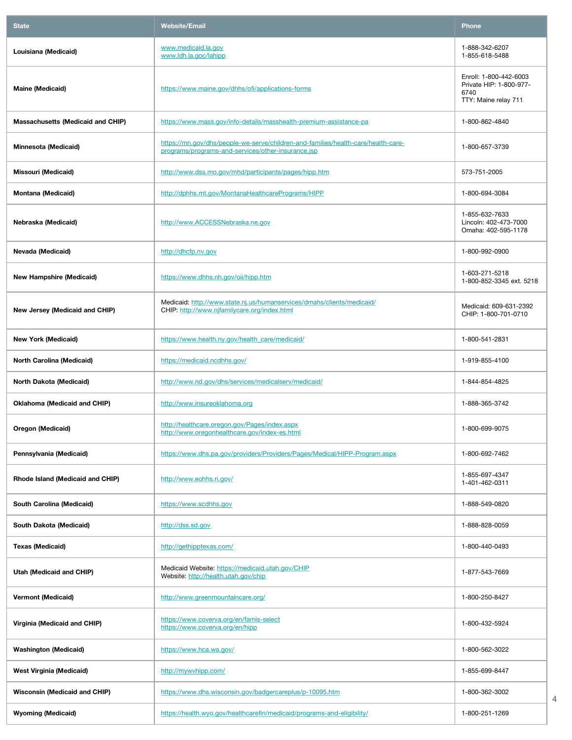| <b>State</b>                         | <b>Website/Email</b>                                                                                                                    | Phone                                                          |   |
|--------------------------------------|-----------------------------------------------------------------------------------------------------------------------------------------|----------------------------------------------------------------|---|
| Louisiana (Medicaid)                 | www.medicaid.la.gov<br>www.ldh.la.goc/lahipp                                                                                            | 1-888-342-6207<br>1-855-618-5488                               |   |
| <b>Maine (Medicaid)</b>              | https://www.maine.gov/dhhs/ofi/applications-forms                                                                                       | Enroll: 1-800-442-6003<br>Private HIP: 1-800-977-              |   |
|                                      |                                                                                                                                         | 6740<br>TTY: Maine relay 711                                   |   |
| Massachusetts (Medicaid and CHIP)    | https://www.mass.gov/info-details/masshealth-premium-assistance-pa                                                                      | 1-800-862-4840                                                 |   |
| Minnesota (Medicaid)                 | https://mn.gov/dhs/people-we-serve/children-and-families/health-care/health-care-<br>programs/programs-and-services/other-insurance.jsp | 1-800-657-3739                                                 |   |
| Missouri (Medicaid)                  | http://www.dss.mo.gov/mhd/participants/pages/hipp.htm                                                                                   | 573-751-2005                                                   |   |
| Montana (Medicaid)                   | http://dphhs.mt.gov/MontanaHealthcarePrograms/HIPP                                                                                      | 1-800-694-3084                                                 |   |
| Nebraska (Medicaid)                  | http://www.ACCESSNebraska.ne.gov                                                                                                        | 1-855-632-7633<br>Lincoln: 402-473-7000<br>Omaha: 402-595-1178 |   |
| Nevada (Medicaid)                    | http://dhcfp.nv.gov                                                                                                                     | 1-800-992-0900                                                 |   |
| <b>New Hampshire (Medicaid)</b>      | https://www.dhhs.nh.gov/oii/hipp.htm                                                                                                    | 1-603-271-5218<br>1-800-852-3345 ext. 5218                     |   |
| New Jersey (Medicaid and CHIP)       | Medicaid: http://www.state.nj.us/humanservices/dmahs/clients/medicaid/<br>CHIP: http://www.njfamilycare.org/index.html                  | Medicaid: 609-631-2392<br>CHIP: 1-800-701-0710                 |   |
| <b>New York (Medicaid)</b>           | https://www.health.ny.gov/health_care/medicaid/                                                                                         | 1-800-541-2831                                                 |   |
| North Carolina (Medicaid)            | https://medicaid.ncdhhs.gov/                                                                                                            | 1-919-855-4100                                                 |   |
| North Dakota (Medicaid)              | http://www.nd.gov/dhs/services/medicalserv/medicaid/                                                                                    | 1-844-854-4825                                                 |   |
| Oklahoma (Medicaid and CHIP)         | http://www.insureoklahoma.org                                                                                                           | 1-888-365-3742                                                 |   |
| Oregon (Medicaid)                    | http://healthcare.oregon.gov/Pages/index.aspx<br>http://www.oregonhealthcare.gov/index-es.html                                          | 1-800-699-9075                                                 |   |
| Pennsylvania (Medicaid)              | https://www.dhs.pa.gov/providers/Providers/Pages/Medical/HIPP-Program.aspx                                                              | 1-800-692-7462                                                 |   |
| Rhode Island (Medicaid and CHIP)     | http://www.eohhs.ri.gov/                                                                                                                | 1-855-697-4347<br>1-401-462-0311                               |   |
| South Carolina (Medicaid)            | https://www.scdhhs.gov                                                                                                                  | 1-888-549-0820                                                 |   |
| South Dakota (Medicaid)              | http://dss.sd.gov                                                                                                                       | 1-888-828-0059                                                 |   |
| <b>Texas (Medicaid)</b>              | http://gethipptexas.com/                                                                                                                | 1-800-440-0493                                                 |   |
| Utah (Medicaid and CHIP)             | Medicaid Website: https://medicaid.utah.gov/CHIP<br>Website: http://health.utah.gov/chip                                                | 1-877-543-7669                                                 |   |
| <b>Vermont (Medicaid)</b>            | http://www.greenmountaincare.org/                                                                                                       | 1-800-250-8427                                                 |   |
| Virginia (Medicaid and CHIP)         | https://www.coverva.org/en/famis-select<br>https://www.coverva.org/en/hipp                                                              | 1-800-432-5924                                                 |   |
| <b>Washington (Medicaid)</b>         | https://www.hca.wa.gov/                                                                                                                 | 1-800-562-3022                                                 |   |
| <b>West Virginia (Medicaid)</b>      | http://mywvhipp.com/                                                                                                                    | 1-855-699-8447                                                 |   |
| <b>Wisconsin (Medicaid and CHIP)</b> | https://www.dhs.wisconsin.gov/badgercareplus/p-10095.htm                                                                                | 1-800-362-3002                                                 | 4 |
| <b>Wyoming (Medicaid)</b>            | https://health.wyo.gov/healthcarefin/medicaid/programs-and-eligibility/                                                                 | 1-800-251-1269                                                 |   |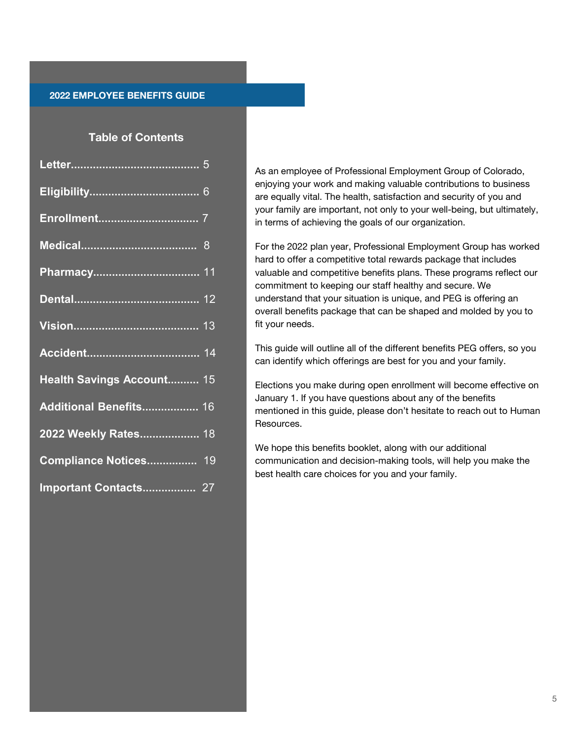## Table of Contents

|                           | As an employee of Professional Employment Group of Colorado,<br>enjoying your work and making valuable contributions to business<br>are equally vital. The health, satisfaction and security of you and |
|---------------------------|---------------------------------------------------------------------------------------------------------------------------------------------------------------------------------------------------------|
|                           | your family are important, not only to your well-being, but ultimately,<br>in terms of achieving the goals of our organization.                                                                         |
|                           | For the 2022 plan year, Professional Employment Group has worked<br>hard to offer a competitive total rewards package that includes                                                                     |
|                           | valuable and competitive benefits plans. These programs reflect our<br>commitment to keeping our staff healthy and secure. We                                                                           |
|                           | understand that your situation is unique, and PEG is offering an<br>overall benefits package that can be shaped and molded by you to                                                                    |
|                           | fit your needs.                                                                                                                                                                                         |
|                           | This guide will outline all of the different benefits PEG offers, so you<br>can identify which offerings are best for you and your family.                                                              |
| Health Savings Account 15 | Elections you make during open enrollment will become effective on                                                                                                                                      |
| Additional Benefits 16    | January 1. If you have questions about any of the benefits<br>mentioned in this guide, please don't hesitate to reach out to Human                                                                      |
| 2022 Weekly Rates 18      | Resources.                                                                                                                                                                                              |
| Compliance Notices 19     | We hope this benefits booklet, along with our additional<br>communication and decision-making tools, will help you make the<br>best health care choices for you and your family.                        |
| Important Contacts 27     |                                                                                                                                                                                                         |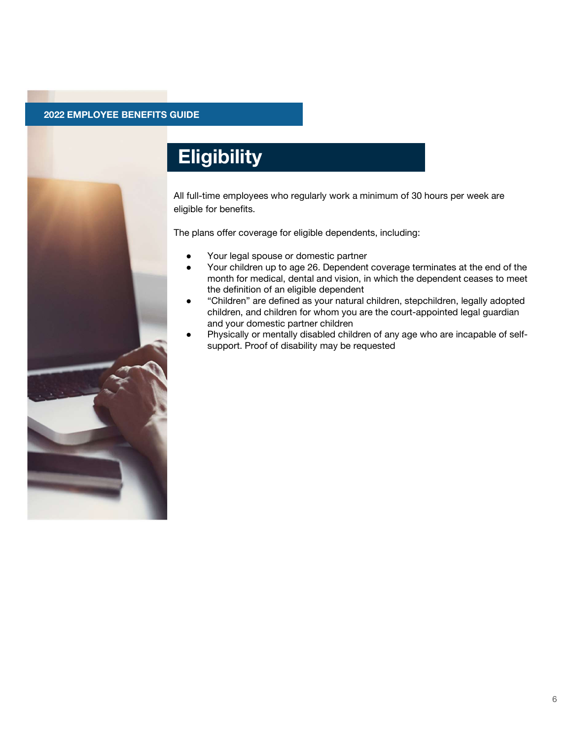

# **Eligibility**

All full-time employees who regularly work a minimum of 30 hours per week are eligible for benefits.

The plans offer coverage for eligible dependents, including:

- Your legal spouse or domestic partner
- Your children up to age 26. Dependent coverage terminates at the end of the month for medical, dental and vision, in which the dependent ceases to meet the definition of an eligible dependent
- "Children" are defined as your natural children, stepchildren, legally adopted children, and children for whom you are the court-appointed legal guardian and your domestic partner children
- Physically or mentally disabled children of any age who are incapable of selfsupport. Proof of disability may be requested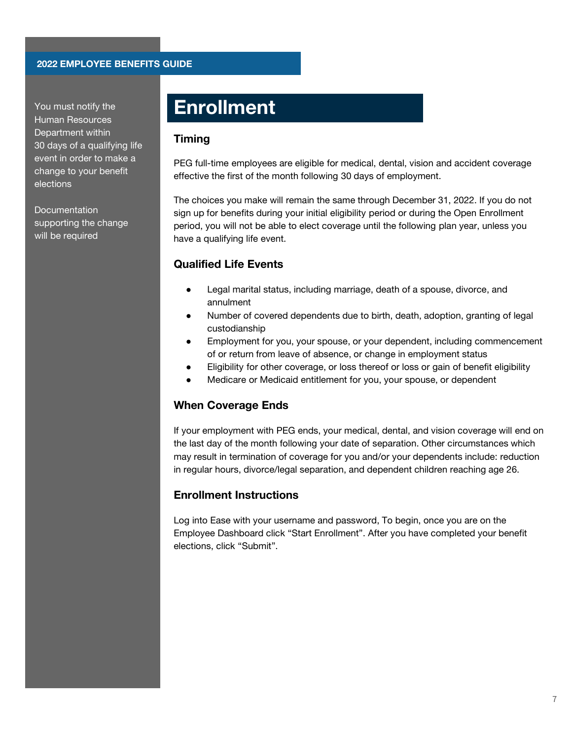Human Resources Department within 30 days of a qualifying life event in order to make a change to your benefit elections

## You must notify the **Enrollment**

## Timing

PEG full-time employees are eligible for medical, dental, vision and accident coverage effective the first of the month following 30 days of employment.

The choices you make will remain the same through December 31, 2022. If you do not Documentation and sign up for benefits during your initial eligibility period or during the Open Enrollment supporting the change entity period, you will not be able to elect coverage until the following plan year, unless you will be required **the contract of the set of the contract of the contract of the contract of the contract of the contract of the contract of the contract of the contract of the contract of the contract of the contract of t** 

## Qualified Life Events

- Legal marital status, including marriage, death of a spouse, divorce, and annulment
- Number of covered dependents due to birth, death, adoption, granting of legal custodianship
- Employment for you, your spouse, or your dependent, including commencement of or return from leave of absence, or change in employment status
- Eligibility for other coverage, or loss thereof or loss or gain of benefit eligibility
- Medicare or Medicaid entitlement for you, your spouse, or dependent

#### When Coverage Ends

If your employment with PEG ends, your medical, dental, and vision coverage will end on the last day of the month following your date of separation. Other circumstances which may result in termination of coverage for you and/or your dependents include: reduction in regular hours, divorce/legal separation, and dependent children reaching age 26.

## Enrollment Instructions

Log into Ease with your username and password, To begin, once you are on the Employee Dashboard click "Start Enrollment". After you have completed your benefit elections, click "Submit".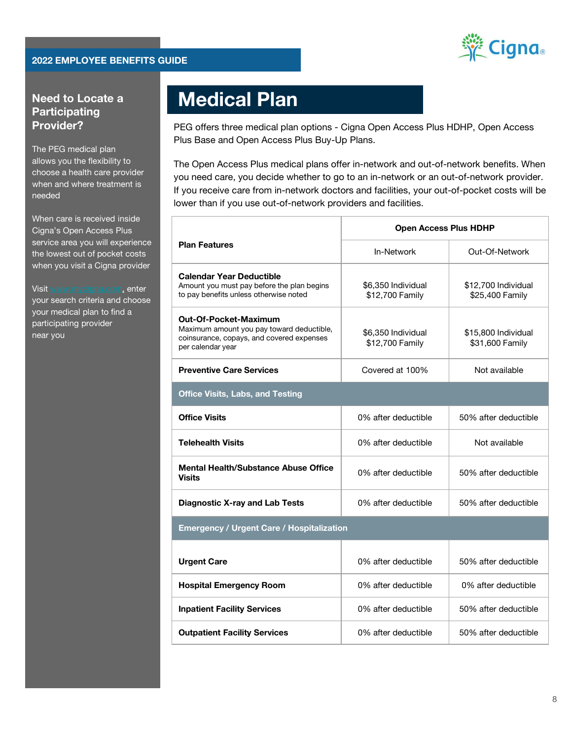



# **Participating**

## Need to Locate a **Medical Plan**

**PECTRE CONTROLL PROFITED SET OF CHANGE OF CHANGE OF CHANGE OF CHANGE OF CHANGE OF CHANGE OF CHANGE PREGREGATED**<br>PEG offers three medical plan options - Cigna Open Access Plus HDHP, Open Access<br>Plus Base and Open Access Pl The Open Access Plus medical plans offer in-network and out-of-network benefits. When you need care, you decide whether to go to an in-network or an out-of-network provider. If you receive care from in-network doctors and facilities, your out-of-pocket costs will be lower than if you use out-of-network providers and facilities.

| <b>2022 EMPLOYEE BENEFITS GUIDE</b>                                                                                                                 |                                                                                                                                                                                                                                                                                                                                                                                                                                                                                        |                                       | <b>Signa</b> 。                         |
|-----------------------------------------------------------------------------------------------------------------------------------------------------|----------------------------------------------------------------------------------------------------------------------------------------------------------------------------------------------------------------------------------------------------------------------------------------------------------------------------------------------------------------------------------------------------------------------------------------------------------------------------------------|---------------------------------------|----------------------------------------|
| <b>Need to Locate a</b><br><b>Participating</b>                                                                                                     | <b>Medical Plan</b>                                                                                                                                                                                                                                                                                                                                                                                                                                                                    |                                       |                                        |
| <b>Provider?</b><br>The PEG medical plan<br>allows you the flexibility to<br>choose a health care provider<br>when and where treatment is<br>needed | PEG offers three medical plan options - Cigna Open Access Plus HDHP, Open Access<br>Plus Base and Open Access Plus Buy-Up Plans.<br>The Open Access Plus medical plans offer in-network and out-of-network benefits. When<br>you need care, you decide whether to go to an in-network or an out-of-network provider.<br>If you receive care from in-network doctors and facilities, your out-of-pocket costs will be<br>lower than if you use out-of-network providers and facilities. |                                       |                                        |
| When care is received inside<br>Cigna's Open Access Plus                                                                                            |                                                                                                                                                                                                                                                                                                                                                                                                                                                                                        | <b>Open Access Plus HDHP</b>          |                                        |
| service area you will experience<br>the lowest out of pocket costs                                                                                  | <b>Plan Features</b>                                                                                                                                                                                                                                                                                                                                                                                                                                                                   | In-Network                            | Out-Of-Network                         |
| when you visit a Cigna provider<br>$\mathsf{Visit}$ :<br>$\overline{\mathsf{n}}$ , enter<br>your search criteria and choose                         | <b>Calendar Year Deductible</b><br>Amount you must pay before the plan begins<br>to pay benefits unless otherwise noted                                                                                                                                                                                                                                                                                                                                                                | \$6,350 Individual<br>\$12,700 Family | \$12,700 Individual<br>\$25,400 Family |
| your medical plan to find a<br>participating provider<br>near you                                                                                   | Out-Of-Pocket-Maximum<br>Maximum amount you pay toward deductible,<br>coinsurance, copays, and covered expenses<br>per calendar year                                                                                                                                                                                                                                                                                                                                                   | \$6,350 Individual<br>\$12,700 Family | \$15,800 Individual<br>\$31,600 Family |
|                                                                                                                                                     | <b>Preventive Care Services</b>                                                                                                                                                                                                                                                                                                                                                                                                                                                        | Covered at 100%                       | Not available                          |
|                                                                                                                                                     | <b>Office Visits, Labs, and Testing</b>                                                                                                                                                                                                                                                                                                                                                                                                                                                |                                       |                                        |
|                                                                                                                                                     | <b>Office Visits</b>                                                                                                                                                                                                                                                                                                                                                                                                                                                                   | 0% after deductible                   | 50% after deductible                   |
|                                                                                                                                                     | <b>Telehealth Visits</b>                                                                                                                                                                                                                                                                                                                                                                                                                                                               | 0% after deductible                   | Not available                          |
|                                                                                                                                                     | <b>Mental Health/Substance Abuse Office</b><br><b>Visits</b>                                                                                                                                                                                                                                                                                                                                                                                                                           | 0% after deductible                   | 50% after deductible                   |
|                                                                                                                                                     | <b>Diagnostic X-ray and Lab Tests</b>                                                                                                                                                                                                                                                                                                                                                                                                                                                  | 0% after deductible                   | 50% after deductible                   |
|                                                                                                                                                     | <b>Emergency / Urgent Care / Hospitalization</b>                                                                                                                                                                                                                                                                                                                                                                                                                                       |                                       |                                        |
|                                                                                                                                                     | <b>Urgent Care</b>                                                                                                                                                                                                                                                                                                                                                                                                                                                                     | 0% after deductible                   | 50% after deductible                   |
|                                                                                                                                                     | <b>Hospital Emergency Room</b>                                                                                                                                                                                                                                                                                                                                                                                                                                                         | 0% after deductible                   | 0% after deductible                    |
|                                                                                                                                                     | <b>Inpatient Facility Services</b>                                                                                                                                                                                                                                                                                                                                                                                                                                                     | 0% after deductible                   | 50% after deductible                   |
|                                                                                                                                                     | <b>Outpatient Facility Services</b>                                                                                                                                                                                                                                                                                                                                                                                                                                                    | 0% after deductible                   | 50% after deductible                   |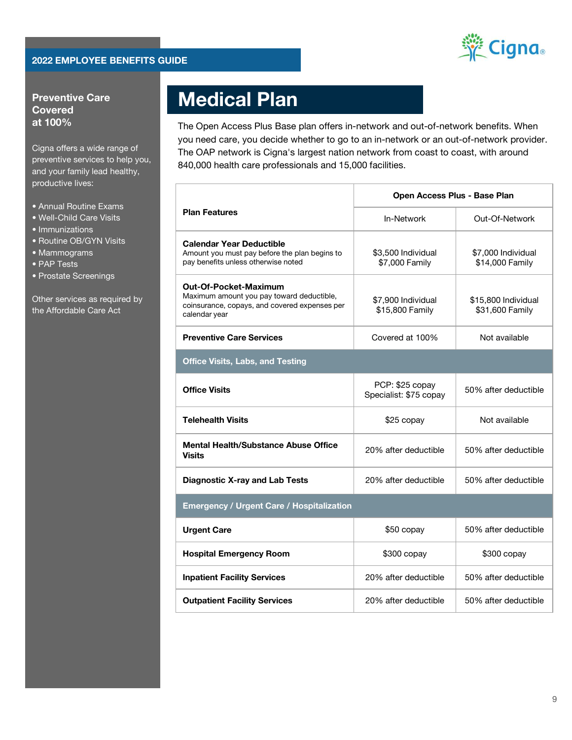

Preventive Care Covered

Cigna offers a wide range of preventive services to help you, and your family lead healthy, productive lives:

- Annual Routine Exams
- Well-Child Care Visits
- Immunizations
- Routine OB/GYN Visits
- Mammograms
- PAP Tests
- Prostate Screenings

Other services as required by the Affordable Care Act

# Medical Plan

at 100% The Open Access Plus Base plan offers in-network and out-of-network benefits. When you need care, you decide whether to go to an in-network or an out-of-network provider. The OAP network is Cigna's largest nation network from coast to coast, with around 840,000 health care professionals and 15,000 facilities.

| <b>IDE</b>                                                                                                                                                                                                                                                                                                                      |                                           | Cigna®                                 |
|---------------------------------------------------------------------------------------------------------------------------------------------------------------------------------------------------------------------------------------------------------------------------------------------------------------------------------|-------------------------------------------|----------------------------------------|
| <b>Medical Plan</b>                                                                                                                                                                                                                                                                                                             |                                           |                                        |
| The Open Access Plus Base plan offers in-network and out-of-network benefits. When<br>you need care, you decide whether to go to an in-network or an out-of-network provider.<br>The OAP network is Cigna's largest nation network from coast to coast, with around<br>840,000 health care professionals and 15,000 facilities. |                                           |                                        |
|                                                                                                                                                                                                                                                                                                                                 |                                           | Open Access Plus - Base Plan           |
| <b>Plan Features</b>                                                                                                                                                                                                                                                                                                            | In-Network                                | Out-Of-Network                         |
| <b>Calendar Year Deductible</b><br>Amount you must pay before the plan begins to<br>pay benefits unless otherwise noted                                                                                                                                                                                                         | \$3,500 Individual<br>\$7,000 Family      | \$7,000 Individual<br>\$14,000 Family  |
| Out-Of-Pocket-Maximum<br>Maximum amount you pay toward deductible,<br>coinsurance, copays, and covered expenses per<br>calendar year                                                                                                                                                                                            | \$7,900 Individual<br>\$15,800 Family     | \$15,800 Individual<br>\$31,600 Family |
| <b>Preventive Care Services</b>                                                                                                                                                                                                                                                                                                 | Covered at 100%                           | Not available                          |
| <b>Office Visits, Labs, and Testing</b>                                                                                                                                                                                                                                                                                         |                                           |                                        |
| <b>Office Visits</b>                                                                                                                                                                                                                                                                                                            | PCP: \$25 copay<br>Specialist: \$75 copay | 50% after deductible                   |
| <b>Telehealth Visits</b>                                                                                                                                                                                                                                                                                                        | \$25 copay                                | Not available                          |
| <b>Mental Health/Substance Abuse Office</b><br><b>Visits</b>                                                                                                                                                                                                                                                                    | 20% after deductible                      | 50% after deductible                   |
| <b>Diagnostic X-ray and Lab Tests</b>                                                                                                                                                                                                                                                                                           | 20% after deductible                      | 50% after deductible                   |
| <b>Emergency / Urgent Care / Hospitalization</b>                                                                                                                                                                                                                                                                                |                                           |                                        |
| <b>Urgent Care</b>                                                                                                                                                                                                                                                                                                              | \$50 copay                                | 50% after deductible                   |
| <b>Hospital Emergency Room</b>                                                                                                                                                                                                                                                                                                  | \$300 copay                               | \$300 copay                            |
| <b>Inpatient Facility Services</b>                                                                                                                                                                                                                                                                                              | 20% after deductible                      | 50% after deductible                   |
|                                                                                                                                                                                                                                                                                                                                 |                                           |                                        |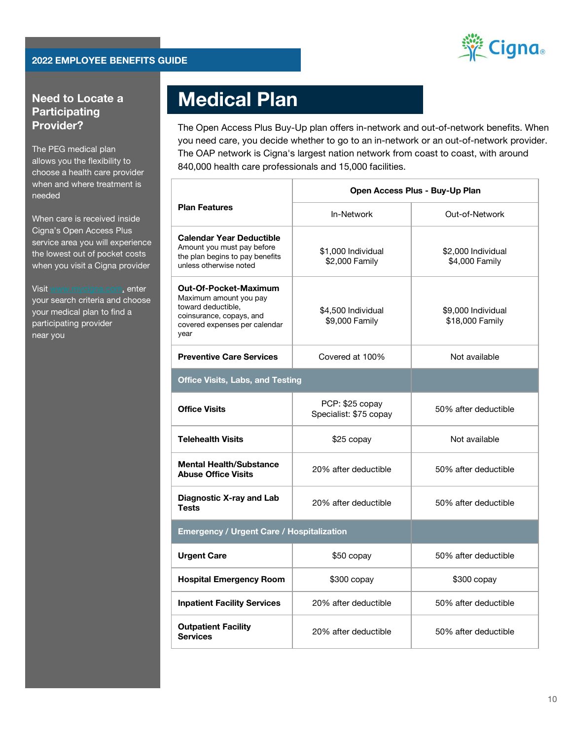

# **Participating**

## Need to Locate a **Medical Plan**

| <b>2022 EMPLOYEE BENEFITS GUIDE</b>                                                                                                        |                                                                                                                                                                                                                                                                       | <b>Section</b>                        |  |  |
|--------------------------------------------------------------------------------------------------------------------------------------------|-----------------------------------------------------------------------------------------------------------------------------------------------------------------------------------------------------------------------------------------------------------------------|---------------------------------------|--|--|
| <b>Medical Plan</b>                                                                                                                        |                                                                                                                                                                                                                                                                       |                                       |  |  |
|                                                                                                                                            | The Open Access Plus Buy-Up plan offers in-network and out-of-network benefits. When<br>you need care, you decide whether to go to an in-network or an out-of-network provider.<br>The OAP network is Cigna's largest nation network from coast to coast, with around |                                       |  |  |
| 840,000 health care professionals and 15,000 facilities.                                                                                   |                                                                                                                                                                                                                                                                       |                                       |  |  |
|                                                                                                                                            |                                                                                                                                                                                                                                                                       | Open Access Plus - Buy-Up Plan        |  |  |
| <b>Plan Features</b>                                                                                                                       | In-Network                                                                                                                                                                                                                                                            | Out-of-Network                        |  |  |
| <b>Calendar Year Deductible</b><br>Amount you must pay before<br>the plan begins to pay benefits<br>unless otherwise noted                 | \$1,000 Individual<br>\$2,000 Family                                                                                                                                                                                                                                  | \$2,000 Individual<br>\$4,000 Family  |  |  |
| Out-Of-Pocket-Maximum<br>Maximum amount you pay<br>toward deductible,<br>coinsurance, copays, and<br>covered expenses per calendar<br>year | \$4,500 Individual<br>\$9,000 Family                                                                                                                                                                                                                                  | \$9,000 Individual<br>\$18,000 Family |  |  |
| <b>Preventive Care Services</b>                                                                                                            | Covered at 100%                                                                                                                                                                                                                                                       | Not available                         |  |  |
| <b>Office Visits, Labs, and Testing</b>                                                                                                    |                                                                                                                                                                                                                                                                       |                                       |  |  |
| <b>Office Visits</b>                                                                                                                       | PCP: \$25 copay<br>Specialist: \$75 copay                                                                                                                                                                                                                             | 50% after deductible                  |  |  |
| <b>Telehealth Visits</b>                                                                                                                   | \$25 copay                                                                                                                                                                                                                                                            | Not available                         |  |  |
| <b>Mental Health/Substance</b><br><b>Abuse Office Visits</b>                                                                               | 20% after deductible                                                                                                                                                                                                                                                  | 50% after deductible                  |  |  |
| Diagnostic X-ray and Lab<br><b>Tests</b>                                                                                                   | 20% after deductible                                                                                                                                                                                                                                                  | 50% after deductible                  |  |  |
| <b>Emergency / Urgent Care / Hospitalization</b>                                                                                           |                                                                                                                                                                                                                                                                       |                                       |  |  |
| <b>Urgent Care</b>                                                                                                                         | \$50 copay                                                                                                                                                                                                                                                            | 50% after deductible                  |  |  |
| <b>Hospital Emergency Room</b>                                                                                                             | $$300$ copay                                                                                                                                                                                                                                                          | $$300$ copay                          |  |  |
| <b>Inpatient Facility Services</b>                                                                                                         | 20% after deductible                                                                                                                                                                                                                                                  | 50% after deductible                  |  |  |
| <b>Outpatient Facility</b>                                                                                                                 | 20% after deductible                                                                                                                                                                                                                                                  | 50% after deductible                  |  |  |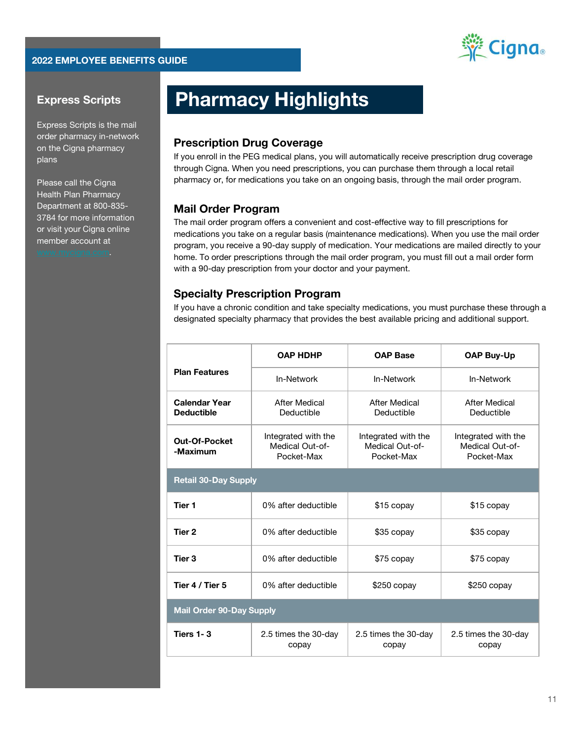

Express Scripts is the mail order pharmacy in-network on the Cigna pharmacy plans

Please call the Cigna Health Plan Pharmacy Department at 800-835- 3784 for more information or visit your Cigna online member account at

www.mycigna.com.

## Pharmacy Highlights Express Scripts

## Prescription Drug Coverage

## Mail Order Program

## Specialty Prescription Program

| <b>Prescription Drug Coverage</b>         | If you enroll in the PEG medical plans, you will automatically receive prescription drug coverage<br>through Cigna. When you need prescriptions, you can purchase them through a local retail<br>pharmacy or, for medications you take on an ongoing basis, through the mail order program.                                                                                                                                                                                                                                                                                                                          |                                                      |                                                      |
|-------------------------------------------|----------------------------------------------------------------------------------------------------------------------------------------------------------------------------------------------------------------------------------------------------------------------------------------------------------------------------------------------------------------------------------------------------------------------------------------------------------------------------------------------------------------------------------------------------------------------------------------------------------------------|------------------------------------------------------|------------------------------------------------------|
| <b>Mail Order Program</b>                 | The mail order program offers a convenient and cost-effective way to fill prescriptions for<br>medications you take on a regular basis (maintenance medications). When you use the mail order<br>program, you receive a 90-day supply of medication. Your medications are mailed directly to your<br>home. To order prescriptions through the mail order program, you must fill out a mail order form<br>with a 90-day prescription from your doctor and your payment.<br><b>Specialty Prescription Program</b><br>If you have a chronic condition and take specialty medications, you must purchase these through a |                                                      |                                                      |
|                                           | designated specialty pharmacy that provides the best available pricing and additional support.                                                                                                                                                                                                                                                                                                                                                                                                                                                                                                                       |                                                      |                                                      |
| <b>Plan Features</b>                      | <b>OAP HDHP</b><br>In-Network                                                                                                                                                                                                                                                                                                                                                                                                                                                                                                                                                                                        | <b>OAP Base</b><br>In-Network                        | <b>OAP Buy-Up</b><br>In-Network                      |
| <b>Calendar Year</b><br><b>Deductible</b> | <b>After Medical</b><br>Deductible                                                                                                                                                                                                                                                                                                                                                                                                                                                                                                                                                                                   | <b>After Medical</b><br>Deductible                   | <b>After Medical</b><br>Deductible                   |
| <b>Out-Of-Pocket</b><br>-Maximum          | Integrated with the<br>Medical Out-of-<br>Pocket-Max                                                                                                                                                                                                                                                                                                                                                                                                                                                                                                                                                                 | Integrated with the<br>Medical Out-of-<br>Pocket-Max | Integrated with the<br>Medical Out-of-<br>Pocket-Max |
| <b>Retail 30-Day Supply</b>               |                                                                                                                                                                                                                                                                                                                                                                                                                                                                                                                                                                                                                      |                                                      |                                                      |
| Tier 1                                    | 0% after deductible                                                                                                                                                                                                                                                                                                                                                                                                                                                                                                                                                                                                  | \$15 copay                                           | \$15 copay                                           |
| Tier 2                                    | 0% after deductible                                                                                                                                                                                                                                                                                                                                                                                                                                                                                                                                                                                                  | \$35 copay                                           | \$35 copay                                           |
| Tier 3                                    | 0% after deductible                                                                                                                                                                                                                                                                                                                                                                                                                                                                                                                                                                                                  | \$75 copay                                           | \$75 copay                                           |
| Tier 4 / Tier 5                           | 0% after deductible                                                                                                                                                                                                                                                                                                                                                                                                                                                                                                                                                                                                  | \$250 copay                                          | \$250 copay                                          |
| <b>Mail Order 90-Day Supply</b>           |                                                                                                                                                                                                                                                                                                                                                                                                                                                                                                                                                                                                                      |                                                      |                                                      |
| Tiers 1-3                                 | 2.5 times the 30-day<br>copay                                                                                                                                                                                                                                                                                                                                                                                                                                                                                                                                                                                        | 2.5 times the 30-day<br>copay                        | 2.5 times the 30-day<br>copay                        |
|                                           |                                                                                                                                                                                                                                                                                                                                                                                                                                                                                                                                                                                                                      |                                                      |                                                      |
|                                           |                                                                                                                                                                                                                                                                                                                                                                                                                                                                                                                                                                                                                      |                                                      |                                                      |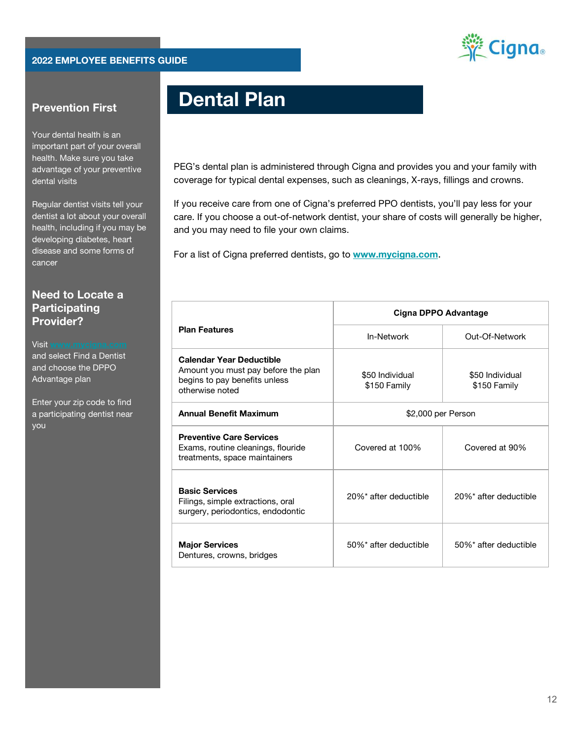

## Prevention First

Your dental health is an important part of your overall health. Make sure you take advantage of your preventive

Regular dentist visits tell your dentist a lot about your overall health, including if you may be developing diabetes, heart disease and some forms of cancer

## Need to Locate a **Participating** Provider?

Visit www.mycigna.com and select Find a Dentist and choose the DPPO Advantage plan

Enter your zip code to find a participating dentist near you and the second control of the second control of the second control of the second control of the second control of the second control of the second control of the second control of the second control of the second contr

## Dental Plan

PEG's dental plan is administered through Cigna and provides you and your family with coverage for typical dental expenses, such as cleanings, X-rays, fillings and crowns. dental visits

| PEG's dental plan is administered through Cigna and provides you and your family with<br>coverage for typical dental expenses, such as cleanings, X-rays, fillings and crowns.                                                       |                                 |                                 |
|--------------------------------------------------------------------------------------------------------------------------------------------------------------------------------------------------------------------------------------|---------------------------------|---------------------------------|
| If you receive care from one of Cigna's preferred PPO dentists, you'll pay less for your<br>care. If you choose a out-of-network dentist, your share of costs will generally be higher,<br>and you may need to file your own claims. |                                 |                                 |
| For a list of Cigna preferred dentists, go to <b>www.mycigna.com</b> .                                                                                                                                                               |                                 |                                 |
|                                                                                                                                                                                                                                      |                                 | <b>Cigna DPPO Advantage</b>     |
| <b>Plan Features</b>                                                                                                                                                                                                                 | In-Network                      | Out-Of-Network                  |
| <b>Calendar Year Deductible</b><br>Amount you must pay before the plan<br>begins to pay benefits unless<br>otherwise noted                                                                                                           | \$50 Individual<br>\$150 Family | \$50 Individual<br>\$150 Family |
| <b>Annual Benefit Maximum</b>                                                                                                                                                                                                        | \$2,000 per Person              |                                 |
| <b>Preventive Care Services</b><br>Exams, routine cleanings, flouride<br>treatments, space maintainers                                                                                                                               | Covered at 100%                 | Covered at 90%                  |
| <b>Basic Services</b><br>Filings, simple extractions, oral<br>surgery, periodontics, endodontic                                                                                                                                      | 20%* after deductible           | 20%* after deductible           |
| <b>Major Services</b><br>Dentures, crowns, bridges                                                                                                                                                                                   | 50%* after deductible           | 50%* after deductible           |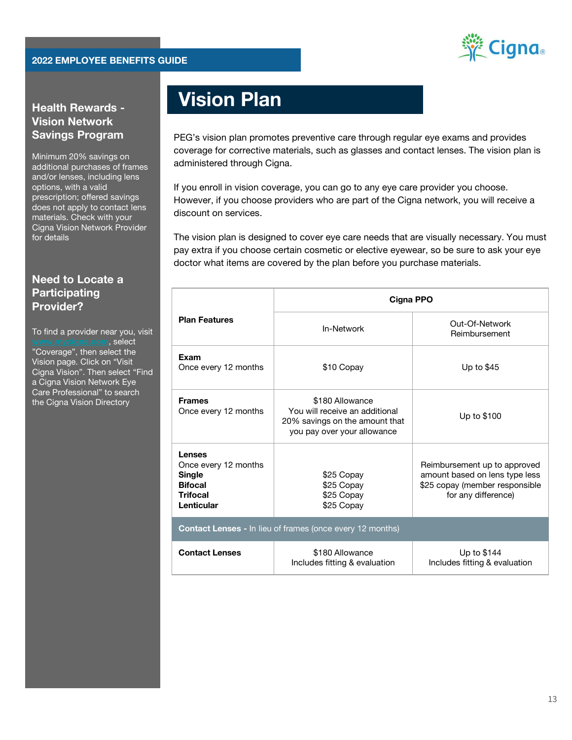

## Health Rewards - Vision Network

Minimum 20% savings on additional purchases of frames and/or lenses, including lens options, with a valid prescription; offered savings does not apply to contact lens materials. Check with your Cigna Vision Network Provider

## Need to Locate a **Participating** Provider?

To find a provider near you, visit  $\mathbf n$ , select "Coverage", then select the Vision page. Click on "Visit Cigna Vision". Then select "Find a Cigna Vision Network Eye Care Professional" to search the Cigna Vision Directory

## Vision Plan

Savings Program PEG's vision plan promotes preventive care through regular eye exams and provides coverage for corrective materials, such as glasses and contact lenses. The vision plan is administered through Cigna.

for details **The vision plan is designed to cover eye care needs that are visually necessary. You must and the visual of the vision plan is designed to cover eye care needs that are visually necessary. You must** pay extra if you choose certain cosmetic or elective eyewear, so be sure to ask your eye doctor what items are covered by the plan before you purchase materials.

| administered through Cigna.                                                                               | PEG's vision plan promotes preventive care through regular eye exams and provides<br>coverage for corrective materials, such as glasses and contact lenses. The vision plan is                                                                                    |                                                                                                                         |
|-----------------------------------------------------------------------------------------------------------|-------------------------------------------------------------------------------------------------------------------------------------------------------------------------------------------------------------------------------------------------------------------|-------------------------------------------------------------------------------------------------------------------------|
| discount on services.                                                                                     | If you enroll in vision coverage, you can go to any eye care provider you choose.<br>However, if you choose providers who are part of the Cigna network, you will receive a                                                                                       |                                                                                                                         |
|                                                                                                           | The vision plan is designed to cover eye care needs that are visually necessary. You must<br>pay extra if you choose certain cosmetic or elective eyewear, so be sure to ask your eye<br>doctor what items are covered by the plan before you purchase materials. |                                                                                                                         |
|                                                                                                           | Cigna PPO                                                                                                                                                                                                                                                         |                                                                                                                         |
| <b>Plan Features</b>                                                                                      | In-Network                                                                                                                                                                                                                                                        | Out-Of-Network<br>Reimbursement                                                                                         |
| Exam<br>Once every 12 months                                                                              | \$10 Copay                                                                                                                                                                                                                                                        | Up to \$45                                                                                                              |
| <b>Frames</b><br>Once every 12 months                                                                     | \$180 Allowance<br>You will receive an additional<br>20% savings on the amount that<br>you pay over your allowance                                                                                                                                                | Up to \$100                                                                                                             |
| <b>Lenses</b><br>Once every 12 months<br><b>Single</b><br><b>Bifocal</b><br><b>Trifocal</b><br>Lenticular | \$25 Copay<br>\$25 Copay<br>\$25 Copay<br>\$25 Copay                                                                                                                                                                                                              | Reimbursement up to approved<br>amount based on lens type less<br>\$25 copay (member responsible<br>for any difference) |
|                                                                                                           | Contact Lenses - In lieu of frames (once every 12 months)                                                                                                                                                                                                         |                                                                                                                         |
| <b>Contact Lenses</b>                                                                                     | \$180 Allowance<br>Includes fitting & evaluation                                                                                                                                                                                                                  | Up to \$144<br>Includes fitting & evaluation                                                                            |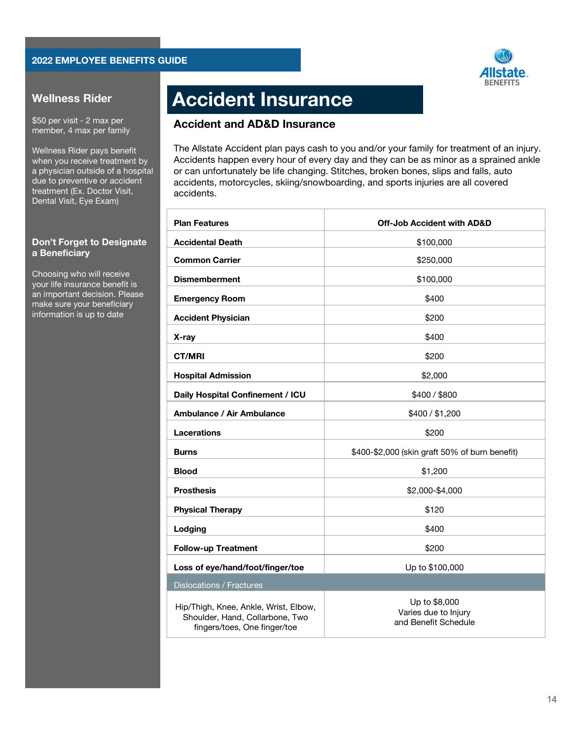

member, 4 max per family

Wellness Rider pays benefit when you receive treatment by a physician outside of a hospital due to preventive or accident treatment (Ex. Doctor Visit, Dental Visit, Eye Exam)

#### Don't Forget to Designate a Beneficiary

Choosing who will receive your life insurance benefit is an important decision. Please make sure your beneficiary information is up to date

# Wellness Rider **Accident Insurance**

#### Accident and AD&D Insurance

The Allstate Accident plan pays cash to you and/or your family for treatment of an injury. Accidents happen every hour of every day and they can be as minor as a sprained ankle or can unfortunately be life changing. Stitches, broken bones, slips and falls, auto accidents, motorcycles, skiing/snowboarding, and sports injuries are all covered accidents. 2022 EMPLOYEE BENEFITS GUIDE<br>
Wellness Rider<br>
S50 per visit - 2 max per<br>
member, 4 max per family<br>
Wellness Rider pays benefit<br>
Wellness Rider pays benefit<br>
Wellness Rider pays benefit<br>
Wellness Rider pays benefit<br>
Wellnes

| <b>JIDE</b>                                                                                              |                                                                                                                                                                                                                                                                                                                                                                 |
|----------------------------------------------------------------------------------------------------------|-----------------------------------------------------------------------------------------------------------------------------------------------------------------------------------------------------------------------------------------------------------------------------------------------------------------------------------------------------------------|
| <b>Accident Insurance</b>                                                                                |                                                                                                                                                                                                                                                                                                                                                                 |
| <b>Accident and AD&amp;D Insurance</b>                                                                   |                                                                                                                                                                                                                                                                                                                                                                 |
| accidents.                                                                                               | The Allstate Accident plan pays cash to you and/or your family for treatment of an injury.<br>Accidents happen every hour of every day and they can be as minor as a sprained ankle<br>or can unfortunately be life changing. Stitches, broken bones, slips and falls, auto<br>accidents, motorcycles, skiing/snowboarding, and sports injuries are all covered |
| <b>Plan Features</b>                                                                                     | <b>Off-Job Accident with AD&amp;D</b>                                                                                                                                                                                                                                                                                                                           |
| <b>Accidental Death</b>                                                                                  | \$100,000                                                                                                                                                                                                                                                                                                                                                       |
| <b>Common Carrier</b>                                                                                    | \$250,000                                                                                                                                                                                                                                                                                                                                                       |
| <b>Dismemberment</b>                                                                                     | \$100,000                                                                                                                                                                                                                                                                                                                                                       |
| <b>Emergency Room</b>                                                                                    | \$400                                                                                                                                                                                                                                                                                                                                                           |
| <b>Accident Physician</b>                                                                                | \$200                                                                                                                                                                                                                                                                                                                                                           |
| X-ray                                                                                                    | \$400                                                                                                                                                                                                                                                                                                                                                           |
| <b>CT/MRI</b>                                                                                            | \$200                                                                                                                                                                                                                                                                                                                                                           |
| <b>Hospital Admission</b>                                                                                | \$2,000                                                                                                                                                                                                                                                                                                                                                         |
| Daily Hospital Confinement / ICU                                                                         | \$400 / \$800                                                                                                                                                                                                                                                                                                                                                   |
| Ambulance / Air Ambulance                                                                                | \$400 / \$1,200                                                                                                                                                                                                                                                                                                                                                 |
| Lacerations                                                                                              | \$200                                                                                                                                                                                                                                                                                                                                                           |
| <b>Burns</b>                                                                                             | \$400-\$2,000 (skin graft 50% of burn benefit)                                                                                                                                                                                                                                                                                                                  |
| <b>Blood</b>                                                                                             | \$1,200                                                                                                                                                                                                                                                                                                                                                         |
| <b>Prosthesis</b>                                                                                        | \$2,000-\$4,000                                                                                                                                                                                                                                                                                                                                                 |
| <b>Physical Therapy</b>                                                                                  | \$120                                                                                                                                                                                                                                                                                                                                                           |
| Lodging                                                                                                  | \$400                                                                                                                                                                                                                                                                                                                                                           |
| <b>Follow-up Treatment</b>                                                                               | \$200                                                                                                                                                                                                                                                                                                                                                           |
| Loss of eye/hand/foot/finger/toe                                                                         | Up to \$100,000                                                                                                                                                                                                                                                                                                                                                 |
| Dislocations / Fractures                                                                                 |                                                                                                                                                                                                                                                                                                                                                                 |
| Hip/Thigh, Knee, Ankle, Wrist, Elbow,<br>Shoulder, Hand, Collarbone, Two<br>fingers/toes, One finger/toe | Up to \$8,000<br>Varies due to Injury<br>and Benefit Schedule                                                                                                                                                                                                                                                                                                   |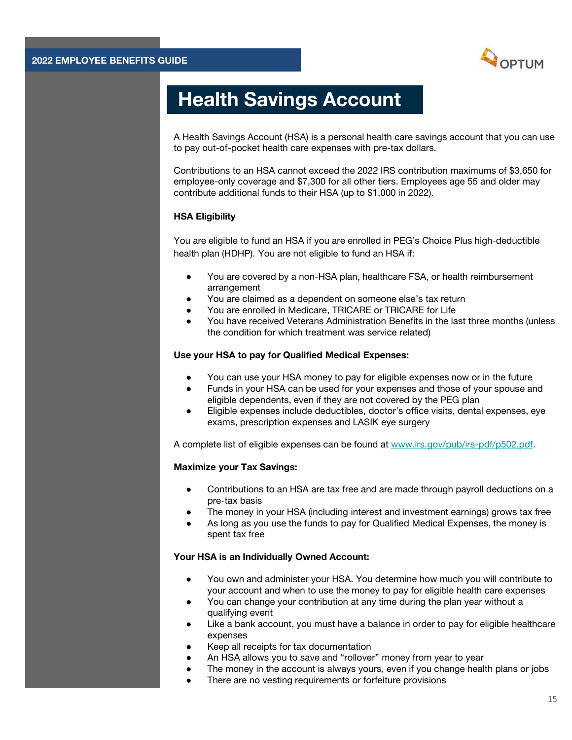

# Health Savings Account

A Health Savings Account (HSA) is a personal health care savings account that you can use to pay out-of-pocket health care expenses with pre-tax dollars.

Contributions to an HSA cannot exceed the 2022 IRS contribution maximums of \$3,650 for employee-only coverage and \$7,300 for all other tiers. Employees age 55 and older may contribute additional funds to their HSA (up to \$1,000 in 2022).

#### HSA Eligibility

You are eligible to fund an HSA if you are enrolled in PEG's Choice Plus high-deductible health plan (HDHP). You are not eligible to fund an HSA if:

- You are covered by a non-HSA plan, healthcare FSA, or health reimbursement arrangement
- You are claimed as a dependent on someone else's tax return
- You are enrolled in Medicare, TRICARE or TRICARE for Life
- You have received Veterans Administration Benefits in the last three months (unless the condition for which treatment was service related)

#### Use your HSA to pay for Qualified Medical Expenses:

- You can use your HSA money to pay for eligible expenses now or in the future
- Funds in your HSA can be used for your expenses and those of your spouse and eligible dependents, even if they are not covered by the PEG plan
- Eligible expenses include deductibles, doctor's office visits, dental expenses, eye exams, prescription expenses and LASIK eye surgery

A complete list of eligible expenses can be found at www.irs.gov/pub/irs-pdf/p502.pdf.

#### Maximize your Tax Savings:

- Contributions to an HSA are tax free and are made through payroll deductions on a pre-tax basis
- The money in your HSA (including interest and investment earnings) grows tax free
- As long as you use the funds to pay for Qualified Medical Expenses, the money is spent tax free

#### Your HSA is an Individually Owned Account:

- You own and administer your HSA. You determine how much you will contribute to your account and when to use the money to pay for eligible health care expenses
- You can change your contribution at any time during the plan year without a qualifying event
- Like a bank account, you must have a balance in order to pay for eligible healthcare expenses
- Keep all receipts for tax documentation
- An HSA allows you to save and "rollover" money from year to year
- The money in the account is always yours, even if you change health plans or jobs
- There are no vesting requirements or forfeiture provisions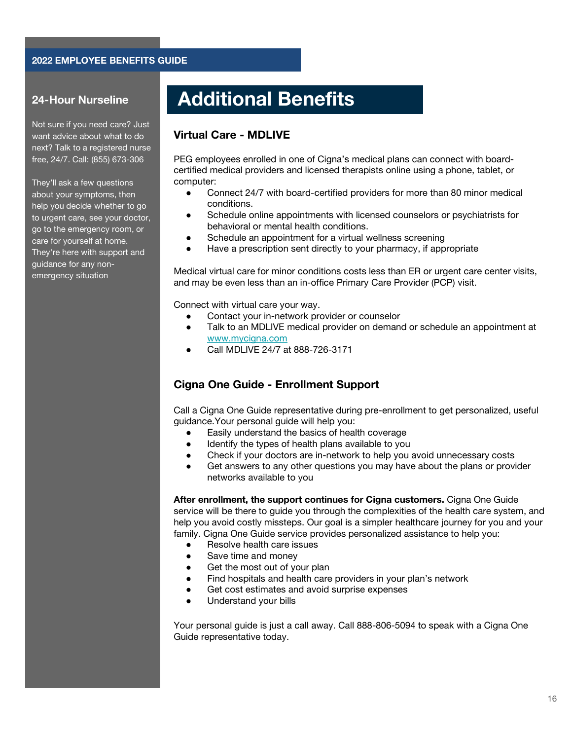Not sure if you need care? Just<br>want advice about what to do **Virtual Care - MDLIVE** want advice about what to do next? Talk to a registered nurse free, 24/7. Call: (855) 673-306

They'll ask a few questions about your symptoms, then help you decide whether to go to urgent care, see your doctor, go to the emergency room, or care for yourself at home. They're here with support and guidance for any nonemergency situation

# 24-Hour Nurseline **Additional Benefits** Formulation of the United States and Tables

**DE**<br> **Additional Benefits**<br>
Virtual Care - MDLIVE<br>
PEG employees enrolled in one of Cigna's medical plans can connect with board-<br>
certified medical providers and licensed therapists online using a phone, tablet, or<br>
Conn PEG employees enrolled in one of Cigna's medical plans can connect with boardcertified medical providers and licensed therapists online using a phone, tablet, or computer: PEG employees enrolled in one of Cigna's medical plans can connect with board-<br>certified medical providers and licensed therapists online using a phone, tablet, or<br>computer:<br>
• Connect 24/7 with board-certified providers f

- Connect 24/7 with board-certified providers for more than 80 minor medical conditions.
- Schedule online appointments with licensed counselors or psychiatrists for behavioral or mental health conditions.
- Schedule an appointment for a virtual wellness screening
- Have a prescription sent directly to your pharmacy, if appropriate

Medical virtual care for minor conditions costs less than ER or urgent care center visits, and may be even less than an in-office Primary Care Provider (PCP) visit.

Connect with virtual care your way.

- Contact your in-network provider or counselor
- Talk to an MDLIVE medical provider on demand or schedule an appointment at www.mycigna.com
- Call MDLIVE 24/7 at 888-726-3171

Call a Cigna One Guide representative during pre-enrollment to get personalized, useful guidance.Your personal guide will help you:

- Easily understand the basics of health coverage
- Identify the types of health plans available to you
- Check if your doctors are in-network to help you avoid unnecessary costs
- Get answers to any other questions you may have about the plans or provider networks available to you

After enrollment, the support continues for Cigna customers. Cigna One Guide service will be there to guide you through the complexities of the health care system, and help you avoid costly missteps. Our goal is a simpler healthcare journey for you and your family. Cigna One Guide service provides personalized assistance to help you:

- Resolve health care issues
- Save time and money
- Get the most out of your plan
- Find hospitals and health care providers in your plan's network
- Get cost estimates and avoid surprise expenses
- Understand your bills

Your personal guide is just a call away. Call 888-806-5094 to speak with a Cigna One Guide representative today.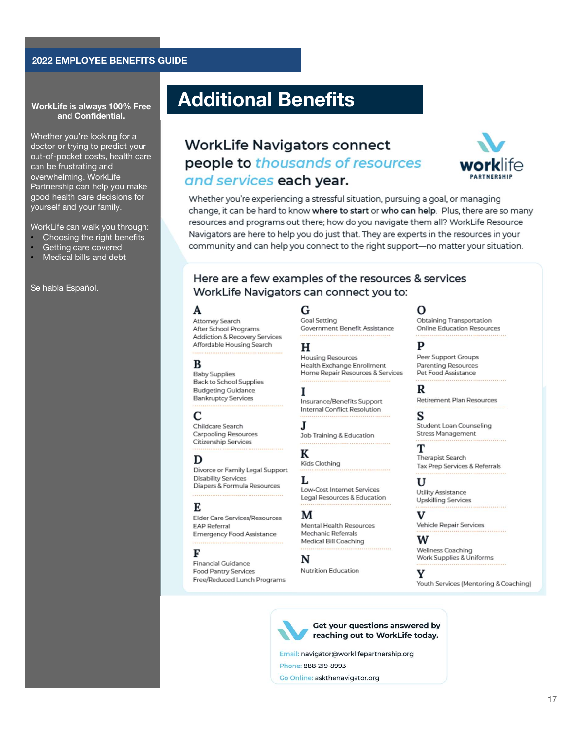## and Confidential.

doctor or trying to predict your can be frustrating and Partnership can help you make

- 
- 
- Medical bills and debt

## Additional Benefits

# 2022 EMPLOYEE BENEFITS GUIDE<br>
WorkLife is always 100% Free<br>
and Confidential.<br>
Whether you're looking for a<br>
doctor or trying to predict your<br>
out-of-pocket costs, health care<br>
con the function and confidential and<br>
overwh Whether you're looking for a<br>doctor or trying to predict your **WorkLife Navigators connect** out-of-pocket costs, health care<br>can be frustrating and<br> **people to thousands of resources** overwhelming. WorkLife and services each year.



good health care decisions for **Whether you're experiencing a stressful situation**, pursuing a goal, or managing yourself and your family. The start of the hard to know where to start or who can help. Plus, there are so many 2022 EMPLOYEE BENEFITS GUIDE<br>
WorkLife is always 100% Free<br>
and Confidential.<br>
Morkler you're obsing for a<br>
WorkLife Navigators conne<br>
eductor or tying to predict your<br>
eductor or tying to predict your<br>
People to thousands Getting care covered **EXECUTE:** community and can help you connect to the right support—no matter your situation. **EXERCISE AND AND AND AN ANDEREM SERVICE SERVENTS GUIDE**<br>
WorkLife is always 100% Free<br>
and Confidential.<br>
Whether youre looking for a<br>
cout-of-pocket costs, health care<br>
can be furstating and<br>
correct costs, health care<br>

**Baby Supplies** Back to School Supplies **Budgeting Guidance Bankruptcy Services** 

#### C

Childcare Search Carpooling Resources Citizenship Services

#### D

Divorce or Family Legal Support **Disability Services** Diapers & Formula Resources

#### E

Elder Care Services/Resources **EAP Referral** Emergency Food Assistance

#### F

**Financial Guidance** Food Pantry Services Free/Reduced Lunch Programs

Health Exchange Enrollment Home Repair Resources & Services

#### 1

Insurance/Benefits Support Internal Conflict Resolution

J Job Training & Education

K Kids Clothing

L Low-Cost Internet Services Legal Resources & Education

#### M

Mental Health Resources Mechanic Referrals Medical Bill Coaching

## N

Nutrition Education

O

Obtaining Transportation Online Education Resources

#### P

Peer Support Groups Parenting Resources Pet Food Assistance

R Retirement Plan Resources

S Student Loan Counseling Stress Management

т Therapist Search Tax Prep Services & Referrals

U Utility Assistance **Upskilling Services** 

v Vehicle Repair Services

W Wellness Coaching Work Supplies & Uniforms

Y Youth Services (Mentoring & Coaching)



Email: navigator@worklifepartnership.org

Phone: 888-219-8993

Go Online: askthenavigator.org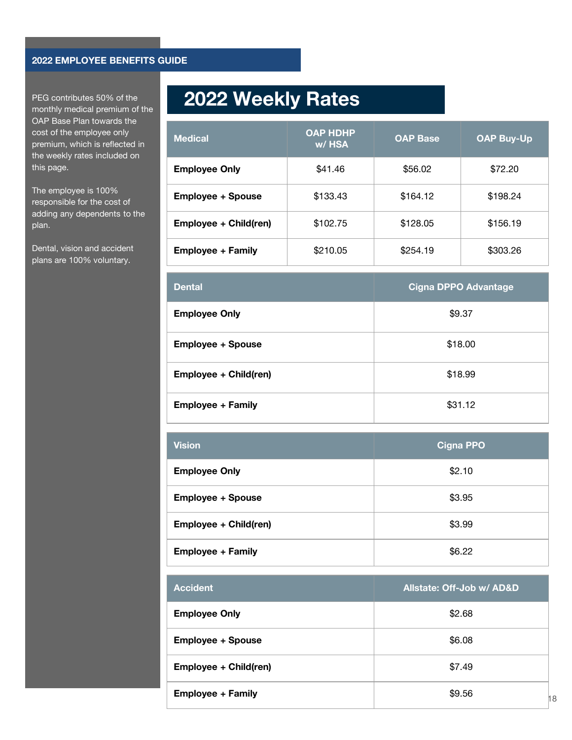monthly medical premium of the OAP Base Plan towards the cost of the employee only premium, which is reflected in the weekly rates included on this page.

The employee is 100% responsible for the cost of adding any dependents to the plan.

Dental, vision and accident plans are 100% voluntary.

# PEG contributes 50% of the **2022 Weekly Rates**

| <b>IDE</b>               |                          |                      |                   |
|--------------------------|--------------------------|----------------------|-------------------|
| 2022 Weekly Rates        |                          |                      |                   |
| <b>Medical</b>           | <b>OAP HDHP</b><br>w/HSA | <b>OAP Base</b>      | <b>OAP Buy-Up</b> |
| <b>Employee Only</b>     | \$41.46                  | \$56.02              | \$72.20           |
| <b>Employee + Spouse</b> | \$133.43                 | \$164.12             | \$198.24          |
| Employee + Child(ren)    | \$102.75                 | \$128.05             | \$156.19          |
| <b>Employee + Family</b> | \$210.05                 | \$254.19             | \$303.26          |
|                          |                          |                      |                   |
| <b>Dental</b>            |                          | Cigna DPPO Advantage |                   |
| <b>Employee Only</b>     |                          |                      | \$9.37            |

| Employee + Child(ren)    | \$102.75 | \$128.05 | \$156.19             |
|--------------------------|----------|----------|----------------------|
| <b>Employee + Family</b> | \$210.05 | \$254.19 | \$303.26             |
| <b>Dental</b>            |          |          | Cigna DPPO Advantage |
| <b>Employee Only</b>     |          |          | \$9.37               |
| <b>Employee + Spouse</b> |          |          | \$18.00              |
| Employee + Child(ren)    |          |          | \$18.99              |
| <b>Employee + Family</b> |          |          | \$31.12              |
| <b>Vision</b>            |          |          | <b>Cigna PPO</b>     |
| <b>Employee Only</b>     |          |          | \$2.10               |
| <b>Employee + Spouse</b> |          | \$3.95   |                      |
|                          |          |          |                      |

| Employee + Child(ren)    | \$18.99                   |
|--------------------------|---------------------------|
| <b>Employee + Family</b> | \$31.12                   |
| <b>Vision</b>            | <b>Cigna PPO</b>          |
| <b>Employee Only</b>     | \$2.10                    |
| <b>Employee + Spouse</b> | \$3.95                    |
| Employee + Child(ren)    | \$3.99                    |
| <b>Employee + Family</b> | \$6.22                    |
| <b>Accident</b>          | Allstate: Off-Job w/ AD&D |
| <b>Employee Only</b>     | \$2.68                    |
| <b>Employee + Spouse</b> | \$6.08                    |
|                          |                           |

| <b>Accident</b>          | Allstate: Off-Job w/ AD&D |    |
|--------------------------|---------------------------|----|
| <b>Employee Only</b>     | \$2.68                    |    |
| <b>Employee + Spouse</b> | \$6.08                    |    |
| Employee + Child(ren)    | \$7.49                    |    |
| <b>Employee + Family</b> | \$9.56                    | 18 |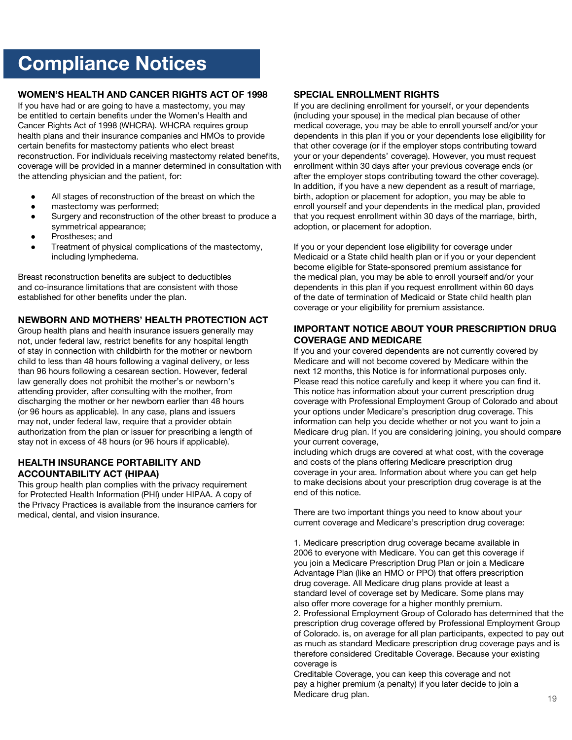#### WOMEN'S HEALTH AND CANCER RIGHTS ACT OF 1998

If you have had or are going to have a mastectomy, you may be entitled to certain benefits under the Women's Health and Cancer Rights Act of 1998 (WHCRA). WHCRA requires group health plans and their insurance companies and HMOs to provide certain benefits for mastectomy patients who elect breast reconstruction. For individuals receiving mastectomy related benefits, coverage will be provided in a manner determined in consultation with the attending physician and the patient, for:

- All stages of reconstruction of the breast on which the
- mastectomy was performed;
- Surgery and reconstruction of the other breast to produce a symmetrical appearance;
- Prostheses; and
- Treatment of physical complications of the mastectomy, including lymphedema.

Breast reconstruction benefits are subject to deductibles and co-insurance limitations that are consistent with those established for other benefits under the plan.

#### NEWBORN AND MOTHERS' HEALTH PROTECTION ACT

Group health plans and health insurance issuers generally may not, under federal law, restrict benefits for any hospital length of stay in connection with childbirth for the mother or newborn child to less than 48 hours following a vaginal delivery, or less than 96 hours following a cesarean section. However, federal law generally does not prohibit the mother's or newborn's attending provider, after consulting with the mother, from discharging the mother or her newborn earlier than 48 hours (or 96 hours as applicable). In any case, plans and issuers may not, under federal law, require that a provider obtain authorization from the plan or issuer for prescribing a length of stay not in excess of 48 hours (or 96 hours if applicable).

#### HEALTH INSURANCE PORTABILITY AND ACCOUNTABILITY ACT (HIPAA)

This group health plan complies with the privacy requirement for Protected Health Information (PHI) under HIPAA. A copy of the Privacy Practices is available from the insurance carriers for medical, dental, and vision insurance.

#### SPECIAL ENROLLMENT RIGHTS

If you are declining enrollment for yourself, or your dependents (including your spouse) in the medical plan because of other medical coverage, you may be able to enroll yourself and/or your dependents in this plan if you or your dependents lose eligibility for that other coverage (or if the employer stops contributing toward your or your dependents' coverage). However, you must request enrollment within 30 days after your previous coverage ends (or after the employer stops contributing toward the other coverage). In addition, if you have a new dependent as a result of marriage, birth, adoption or placement for adoption, you may be able to enroll yourself and your dependents in the medical plan, provided that you request enrollment within 30 days of the marriage, birth, adoption, or placement for adoption.

If you or your dependent lose eligibility for coverage under Medicaid or a State child health plan or if you or your dependent become eligible for State-sponsored premium assistance for the medical plan, you may be able to enroll yourself and/or your dependents in this plan if you request enrollment within 60 days of the date of termination of Medicaid or State child health plan coverage or your eligibility for premium assistance.

#### IMPORTANT NOTICE ABOUT YOUR PRESCRIPTION DRUG COVERAGE AND MEDICARE

If you and your covered dependents are not currently covered by Medicare and will not become covered by Medicare within the next 12 months, this Notice is for informational purposes only. Please read this notice carefully and keep it where you can find it. This notice has information about your current prescription drug coverage with Professional Employment Group of Colorado and about your options under Medicare's prescription drug coverage. This information can help you decide whether or not you want to join a Medicare drug plan. If you are considering joining, you should compare your current coverage,

including which drugs are covered at what cost, with the coverage and costs of the plans offering Medicare prescription drug coverage in your area. Information about where you can get help to make decisions about your prescription drug coverage is at the end of this notice.

There are two important things you need to know about your current coverage and Medicare's prescription drug coverage:

1. Medicare prescription drug coverage became available in 2006 to everyone with Medicare. You can get this coverage if you join a Medicare Prescription Drug Plan or join a Medicare Advantage Plan (like an HMO or PPO) that offers prescription drug coverage. All Medicare drug plans provide at least a standard level of coverage set by Medicare. Some plans may also offer more coverage for a higher monthly premium.

2. Professional Employment Group of Colorado has determined that the prescription drug coverage offered by Professional Employment Group of Colorado. is, on average for all plan participants, expected to pay out as much as standard Medicare prescription drug coverage pays and is therefore considered Creditable Coverage. Because your existing coverage is

Creditable Coverage, you can keep this coverage and not pay a higher premium (a penalty) if you later decide to join a Medicare drug plan.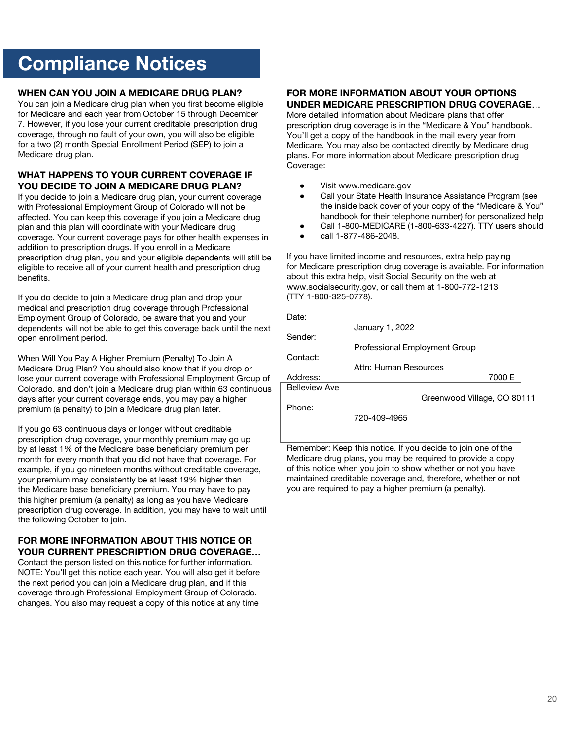## WHEN CAN YOU JOIN A MEDICARE DRUG PLAN?<br>Vou ser is in a Meditary drug plan when we first became slightly and the process of the process of the process

You can join a Medicare drug plan when you first become eligible for Medicare and each year from October 15 through December 7. However, if you lose your current creditable prescription drug coverage, through no fault of your own, you will also be eligible for a two (2) month Special Enrollment Period (SEP) to join a Medicare drug plan.

#### WHAT HAPPENS TO YOUR CURRENT COVERAGE IF YOU DECIDE TO JOIN A MEDICARE DRUG PLAN?

If you decide to join a Medicare drug plan, your current coverage with Professional Employment Group of Colorado will not be affected. You can keep this coverage if you join a Medicare drug plan and this plan will coordinate with your Medicare drug coverage. Your current coverage pays for other health expenses in addition to prescription drugs. If you enroll in a Medicare prescription drug plan, you and your eligible dependents will still be eligible to receive all of your current health and prescription drug benefits.

If you do decide to join a Medicare drug plan and drop your medical and prescription drug coverage through Professional Employment Group of Colorado, be aware that you and your dependents will not be able to get this coverage back until the next open enrollment period.

When Will You Pay A Higher Premium (Penalty) To Join A Medicare Drug Plan? You should also know that if you drop or lose your current coverage with Professional Employment Group of Colorado. and don't join a Medicare drug plan within 63 continuous days after your current coverage ends, you may pay a higher premium (a penalty) to join a Medicare drug plan later.

If you go 63 continuous days or longer without creditable prescription drug coverage, your monthly premium may go up by at least 1% of the Medicare base beneficiary premium per month for every month that you did not have that coverage. For example, if you go nineteen months without creditable coverage, your premium may consistently be at least 19% higher than the Medicare base beneficiary premium. You may have to pay this higher premium (a penalty) as long as you have Medicare prescription drug coverage. In addition, you may have to wait until the following October to join.

#### FOR MORE INFORMATION ABOUT THIS NOTICE OR YOUR CURRENT PRESCRIPTION DRUG COVERAGE…

Contact the person listed on this notice for further information. NOTE: You'll get this notice each year. You will also get it before the next period you can join a Medicare drug plan, and if this coverage through Professional Employment Group of Colorado. changes. You also may request a copy of this notice at any time

#### FOR MORE INFORMATION ABOUT YOUR OPTIONS UNDER MEDICARE PRESCRIPTION DRUG COVERAGE…

More detailed information about Medicare plans that offer prescription drug coverage is in the "Medicare & You" handbook. You'll get a copy of the handbook in the mail every year from Medicare. You may also be contacted directly by Medicare drug plans. For more information about Medicare prescription drug Coverage:

- Visit www.medicare.gov
- Call your State Health Insurance Assistance Program (see the inside back cover of your copy of the "Medicare & You" handbook for their telephone number) for personalized help
- Call 1-800-MEDICARE (1-800-633-4227). TTY users should
- call 1-877-486-2048.

If you have limited income and resources, extra help paying for Medicare prescription drug coverage is available. For information about this extra help, visit Social Security on the web at www.socialsecurity.gov, or call them at 1-800-772-1213 (TTY 1-800-325-0778).

Date:

|                      | January 1, 2022               |  |  |  |  |  |
|----------------------|-------------------------------|--|--|--|--|--|
| Sender:              | Professional Employment Group |  |  |  |  |  |
| Contact:             |                               |  |  |  |  |  |
|                      | Attn: Human Resources         |  |  |  |  |  |
| Address:             | 7000 E                        |  |  |  |  |  |
| <b>Belleview Ave</b> |                               |  |  |  |  |  |
|                      | Greenwood Village, CO 80111   |  |  |  |  |  |
| Phone:               |                               |  |  |  |  |  |
|                      | 720-409-4965                  |  |  |  |  |  |
|                      |                               |  |  |  |  |  |

Remember: Keep this notice. If you decide to join one of the Medicare drug plans, you may be required to provide a copy of this notice when you join to show whether or not you have maintained creditable coverage and, therefore, whether or not you are required to pay a higher premium (a penalty).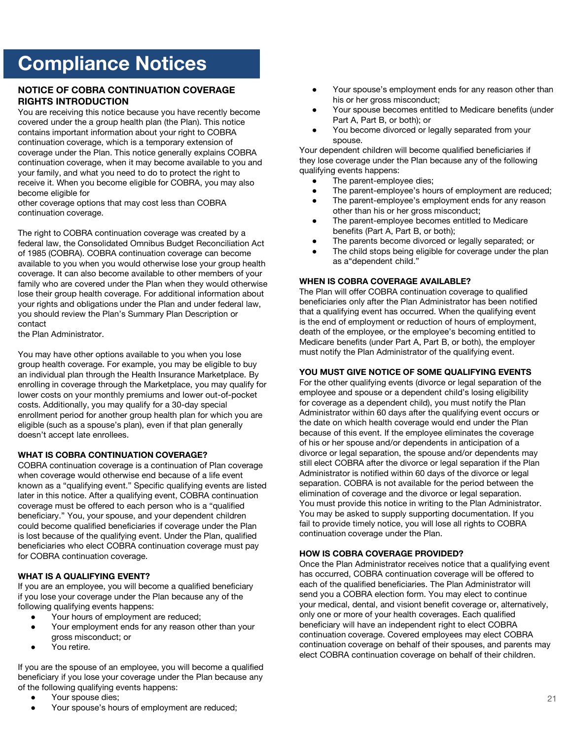## NOTICE OF COBRA CONTINUATION COVERAGE RIGHTS INTRODUCTION<br>Vou era seccións this police because usu bous secondu because

You are receiving this notice because you have recently become covered under the a group health plan (the Plan). This notice contains important information about your right to COBRA continuation coverage, which is a temporary extension of coverage under the Plan. This notice generally explains COBRA continuation coverage, when it may become available to you and your family, and what you need to do to protect the right to receive it. When you become eligible for COBRA, you may also become eligible for

other coverage options that may cost less than COBRA continuation coverage.

The right to COBRA continuation coverage was created by a<br>foderal law the Concelidated Omnibus Purlet Peacesiliation 0st federal law, the Consolidated Omnibus Budget Reconciliation Act of 1985 (COBRA). COBRA continuation coverage can become available to you when you would otherwise lose your group health coverage. It can also become available to other members of your family who are covered under the Plan when they would otherwise lose their group health coverage. For additional information about your rights and obligations under the Plan and under federal law, you should review the Plan's Summary Plan Description or contact

the Plan Administrator.

You may have other options available to you when you lose group health coverage. For example, you may be eligible to buy an individual plan through the Health Insurance Marketplace. By enrolling in coverage through the Marketplace, you may qualify for lower costs on your monthly premiums and lower out-of-pocket costs. Additionally, you may qualify for a 30-day special enrollment period for another group health plan for which you are eligible (such as a spouse's plan), even if that plan generally doesn't accept late enrollees.

#### WHAT IS COBRA CONTINUATION COVERAGE?

COBRA continuation coverage is a continuation of Plan coverage when coverage would otherwise end because of a life event known as a "qualifying event." Specific qualifying events are listed later in this notice. After a qualifying event, COBRA continuation coverage must be offered to each person who is a "qualified beneficiary." You, your spouse, and your dependent children could become qualified beneficiaries if coverage under the Plan is lost because of the qualifying event. Under the Plan, qualified beneficiaries who elect COBRA continuation coverage must pay for COBRA continuation coverage.

#### WHAT IS A QUALIFYING EVENT?

If you are an employee, you will become a qualified beneficiary if you lose your coverage under the Plan because any of the following qualifying events happens:

- Your hours of employment are reduced;
- Your employment ends for any reason other than your gross misconduct; or
- You retire.

If you are the spouse of an employee, you will become a qualified beneficiary if you lose your coverage under the Plan because any of the following qualifying events happens:

- Your spouse dies;
- Your spouse's hours of employment are reduced;
- Your spouse's employment ends for any reason other than his or her gross misconduct;
- Your spouse becomes entitled to Medicare benefits (under Part A, Part B, or both); or
- You become divorced or legally separated from your spouse.

Your dependent children will become qualified beneficiaries if they lose coverage under the Plan because any of the following qualifying events happens:

- The parent-employee dies;
- The parent-employee's hours of employment are reduced;
- The parent-employee's employment ends for any reason other than his or her gross misconduct;
- The parent-employee becomes entitled to Medicare benefits (Part A, Part B, or both);
- The parents become divorced or legally separated; or
- The child stops being eligible for coverage under the plan as a"dependent child."

#### WHEN IS COBRA COVERAGE AVAILABLE?

The Plan will offer COBRA continuation coverage to qualified beneficiaries only after the Plan Administrator has been notified that a qualifying event has occurred. When the qualifying event is the end of employment or reduction of hours of employment, death of the employee, or the employee's becoming entitled to Medicare benefits (under Part A, Part B, or both), the employer must notify the Plan Administrator of the qualifying event.

#### YOU MUST GIVE NOTICE OF SOME QUALIFYING EVENTS

For the other qualifying events (divorce or legal separation of the employee and spouse or a dependent child's losing eligibility for coverage as a dependent child), you must notify the Plan Administrator within 60 days after the qualifying event occurs or the date on which health coverage would end under the Plan because of this event. If the employee eliminates the coverage of his or her spouse and/or dependents in anticipation of a divorce or legal separation, the spouse and/or dependents may still elect COBRA after the divorce or legal separation if the Plan Administrator is notified within 60 days of the divorce or legal separation. COBRA is not available for the period between the elimination of coverage and the divorce or legal separation. You must provide this notice in writing to the Plan Administrator. You may be asked to supply supporting documentation. If you fail to provide timely notice, you will lose all rights to COBRA continuation coverage under the Plan.

#### HOW IS COBRA COVERAGE PROVIDED?

Once the Plan Administrator receives notice that a qualifying event has occurred, COBRA continuation coverage will be offered to each of the qualified beneficiaries. The Plan Administrator will send you a COBRA election form. You may elect to continue your medical, dental, and visiont benefit coverage or, alternatively, only one or more of your health coverages. Each qualified beneficiary will have an independent right to elect COBRA continuation coverage. Covered employees may elect COBRA continuation coverage on behalf of their spouses, and parents may elect COBRA continuation coverage on behalf of their children.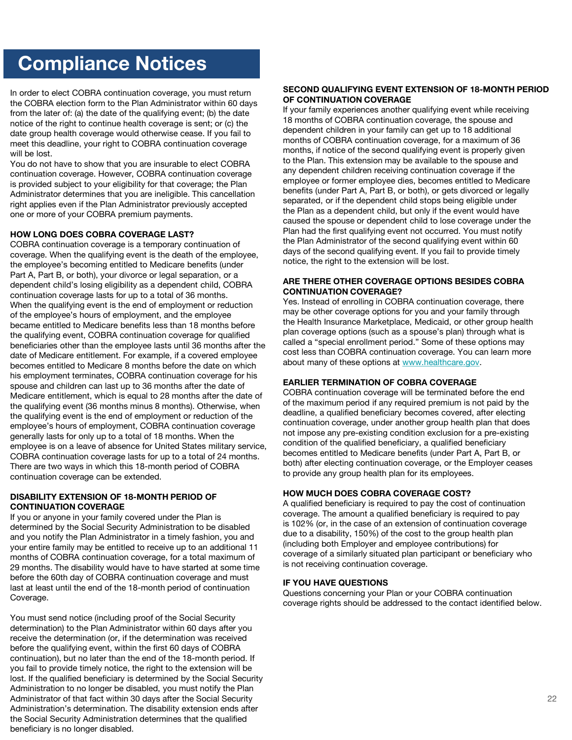In order to elect COBRA continuation coverage, you must return the COBRA election form to the Plan Administrator within 60 days from the later of: (a) the date of the qualifying event; (b) the date notice of the right to continue health coverage is sent; or (c) the date group health coverage would otherwise cease. If you fail to meet this deadline, your right to COBRA continuation coverage will be lost.

You do not have to show that you are insurable to elect COBRA continuation coverage. However, COBRA continuation coverage is provided subject to your eligibility for that coverage; the Plan Administrator determines that you are ineligible. This cancellation right applies even if the Plan Administrator previously accepted one or more of your COBRA premium payments.

#### HOW LONG DOES COBRA COVERAGE LAST?

COBRA continuation coverage is a temporary continuation of coverage. When the qualifying event is the death of the employee, the employee's becoming entitled to Medicare benefits (under Part A, Part B, or both), your divorce or legal separation, or a dependent child's losing eligibility as a dependent child, COBRA continuation coverage lasts for up to a total of 36 months. When the qualifying event is the end of employment or reduction of the employee's hours of employment, and the employee became entitled to Medicare benefits less than 18 months before the qualifying event, COBRA continuation coverage for qualified beneficiaries other than the employee lasts until 36 months after the date of Medicare entitlement. For example, if a covered employee becomes entitled to Medicare 8 months before the date on which his employment terminates, COBRA continuation coverage for his spouse and children can last up to 36 months after the date of Medicare entitlement, which is equal to 28 months after the date of the qualifying event (36 months minus 8 months). Otherwise, when the qualifying event is the end of employment or reduction of the employee's hours of employment, COBRA continuation coverage generally lasts for only up to a total of 18 months. When the employee is on a leave of absence for United States military service, COBRA continuation coverage lasts for up to a total of 24 months. There are two ways in which this 18-month period of COBRA continuation coverage can be extended.

#### DISABILITY EXTENSION OF 18-MONTH PERIOD OF CONTINUATION COVERAGE

If you or anyone in your family covered under the Plan is determined by the Social Security Administration to be disabled and you notify the Plan Administrator in a timely fashion, you and your entire family may be entitled to receive up to an additional 11 months of COBRA continuation coverage, for a total maximum of 29 months. The disability would have to have started at some time before the 60th day of COBRA continuation coverage and must last at least until the end of the 18-month period of continuation Coverage.

You must send notice (including proof of the Social Security determination) to the Plan Administrator within 60 days after you receive the determination (or, if the determination was received before the qualifying event, within the first 60 days of COBRA continuation), but no later than the end of the 18-month period. If you fail to provide timely notice, the right to the extension will be lost. If the qualified beneficiary is determined by the Social Security Administration to no longer be disabled, you must notify the Plan Administrator of that fact within 30 days after the Social Security Administration's determination. The disability extension ends after the Social Security Administration determines that the qualified beneficiary is no longer disabled.

#### SECOND QUALIFYING EVENT EXTENSION OF 18-MONTH PERIOD OF CONTINUATION COVERAGE

If your family experiences another qualifying event while receiving 18 months of COBRA continuation coverage, the spouse and dependent children in your family can get up to 18 additional months of COBRA continuation coverage, for a maximum of 36 months, if notice of the second qualifying event is properly given to the Plan. This extension may be available to the spouse and any dependent children receiving continuation coverage if the employee or former employee dies, becomes entitled to Medicare benefits (under Part A, Part B, or both), or gets divorced or legally separated, or if the dependent child stops being eligible under the Plan as a dependent child, but only if the event would have caused the spouse or dependent child to lose coverage under the Plan had the first qualifying event not occurred. You must notify the Plan Administrator of the second qualifying event within 60 days of the second qualifying event. If you fail to provide timely notice, the right to the extension will be lost.

#### ARE THERE OTHER COVERAGE OPTIONS BESIDES COBRA CONTINUATION COVERAGE?

Yes. Instead of enrolling in COBRA continuation coverage, there may be other coverage options for you and your family through the Health Insurance Marketplace, Medicaid, or other group health plan coverage options (such as a spouse's plan) through what is called a "special enrollment period." Some of these options may cost less than COBRA continuation coverage. You can learn more about many of these options at www.healthcare.gov.

#### EARLIER TERMINATION OF COBRA COVERAGE

COBRA continuation coverage will be terminated before the end of the maximum period if any required premium is not paid by the deadline, a qualified beneficiary becomes covered, after electing continuation coverage, under another group health plan that does not impose any pre-existing condition exclusion for a pre-existing condition of the qualified beneficiary, a qualified beneficiary becomes entitled to Medicare benefits (under Part A, Part B, or both) after electing continuation coverage, or the Employer ceases to provide any group health plan for its employees.

#### HOW MUCH DOES COBRA COVERAGE COST?

A qualified beneficiary is required to pay the cost of continuation coverage. The amount a qualified beneficiary is required to pay is 102% (or, in the case of an extension of continuation coverage due to a disability, 150%) of the cost to the group health plan (including both Employer and employee contributions) for coverage of a similarly situated plan participant or beneficiary who is not receiving continuation coverage.

#### IF YOU HAVE QUESTIONS

Questions concerning your Plan or your COBRA continuation coverage rights should be addressed to the contact identified below.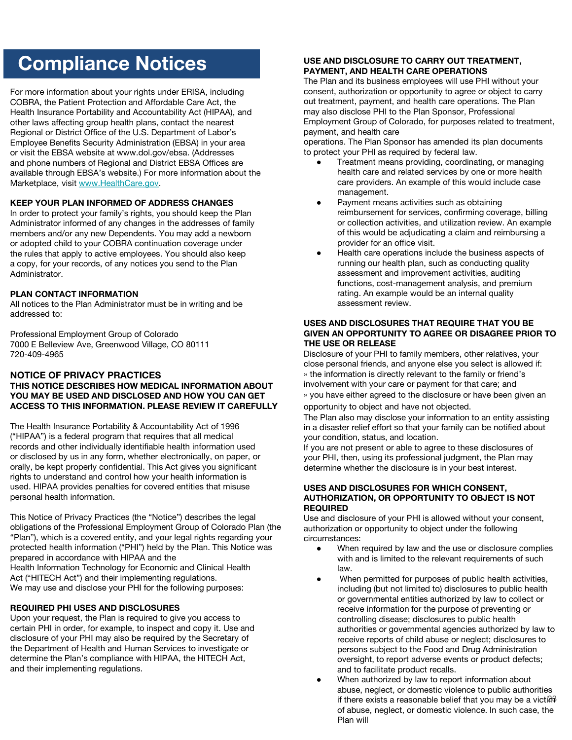For more information about your rights under ERISA, including COBRA, the Patient Protection and Affordable Care Act, the Health Insurance Portability and Accountability Act (HIPAA), and other laws affecting group health plans, contact the nearest Regional or District Office of the U.S. Department of Labor's Employee Benefits Security Administration (EBSA) in your area or visit the EBSA website at www.dol.gov/ebsa. (Addresses and phone numbers of Regional and District EBSA Offices are available through EBSA's website.) For more information about the Marketplace, visit www.HealthCare.gov.

#### KEEP YOUR PLAN INFORMED OF ADDRESS CHANGES

the rules that apply to active employees. You should also keep **the example of the Plan**<br>a copy, for your records, of any notices you send to the Plan **the plan** the and the plan trunning our health In order to protect your family's rights, you should keep the Plan Administrator informed of any changes in the addresses of family members and/or any new Dependents. You may add a newborn or adopted child to your COBRA continuation coverage under the rules that apply to active employees. You should also keep  $\bullet$ Administrator.

#### PLAN CONTACT INFORMATION

All notices to the Plan Administrator must be in writing and be addressed to:

Professional Employment Group of Colorado 7000 E Belleview Ave, Greenwood Village, CO 80111 720-409-4965

#### NOTICE OF PRIVACY PRACTICES THIS NOTICE DESCRIBES HOW MEDICAL INFORMATION ABOUT YOU MAY BE USED AND DISCLOSED AND HOW YOU CAN GET ACCESS TO THIS INFORMATION. PLEASE REVIEW IT CAREFULLY

The Health Insurance Portability & Accountability Act of 1996 ("HIPAA") is a federal program that requires that all medical records and other individually identifiable health information used or disclosed by us in any form, whether electronically, on paper, or orally, be kept properly confidential. This Act gives you significant rights to understand and control how your health information is used. HIPAA provides penalties for covered entities that misuse personal health information.

This Notice of Privacy Practices (the "Notice") describes the legal obligations of the Professional Employment Group of Colorado Plan (the "Plan"), which is a covered entity, and your legal rights regarding your protected health information ("PHI") held by the Plan. This Notice was prepared in accordance with HIPAA and the Health Information Technology for Economic and Clinical Health Act ("HITECH Act") and their implementing regulations.

We may use and disclose your PHI for the following purposes:

#### REQUIRED PHI USES AND DISCLOSURES

Upon your request, the Plan is required to give you access to certain PHI in order, for example, to inspect and copy it. Use and disclosure of your PHI may also be required by the Secretary of the Department of Health and Human Services to investigate or determine the Plan's compliance with HIPAA, the HITECH Act, and their implementing regulations.

#### USE AND DISCLOSURE TO CARRY OUT TREATMENT, PAYMENT, AND HEALTH CARE OPERATIONS

The Plan and its business employees will use PHI without your consent, authorization or opportunity to agree or object to carry out treatment, payment, and health care operations. The Plan may also disclose PHI to the Plan Sponsor, Professional Employment Group of Colorado, for purposes related to treatment, payment, and health care

operations. The Plan Sponsor has amended its plan documents to protect your PHI as required by federal law.

- Treatment means providing, coordinating, or managing health care and related services by one or more health care providers. An example of this would include case management.
- Payment means activities such as obtaining reimbursement for services, confirming coverage, billing or collection activities, and utilization review. An example of this would be adjudicating a claim and reimbursing a provider for an office visit.
- Health care operations include the business aspects of running our health plan, such as conducting quality assessment and improvement activities, auditing functions, cost-management analysis, and premium rating. An example would be an internal quality assessment review.

#### USES AND DISCLOSURES THAT REQUIRE THAT YOU BE GIVEN AN OPPORTUNITY TO AGREE OR DISAGREE PRIOR TO THE USE OR RELEASE

Disclosure of your PHI to family members, other relatives, your close personal friends, and anyone else you select is allowed if: » the information is directly relevant to the family or friend's involvement with your care or payment for that care; and

» you have either agreed to the disclosure or have been given an opportunity to object and have not objected.

The Plan also may disclose your information to an entity assisting in a disaster relief effort so that your family can be notified about your condition, status, and location.

If you are not present or able to agree to these disclosures of your PHI, then, using its professional judgment, the Plan may determine whether the disclosure is in your best interest.

#### USES AND DISCLOSURES FOR WHICH CONSENT, AUTHORIZATION, OR OPPORTUNITY TO OBJECT IS NOT REQUIRED

Use and disclosure of your PHI is allowed without your consent, authorization or opportunity to object under the following circumstances:

- When required by law and the use or disclosure complies with and is limited to the relevant requirements of such law.
- When permitted for purposes of public health activities, including (but not limited to) disclosures to public health or governmental entities authorized by law to collect or receive information for the purpose of preventing or controlling disease; disclosures to public health authorities or governmental agencies authorized by law to receive reports of child abuse or neglect; disclosures to persons subject to the Food and Drug Administration oversight, to report adverse events or product defects; and to facilitate product recalls.
- **2**33 ● When authorized by law to report information about abuse, neglect, or domestic violence to public authorities if there exists a reasonable belief that you may be a victing of abuse, neglect, or domestic violence. In such case, the Plan will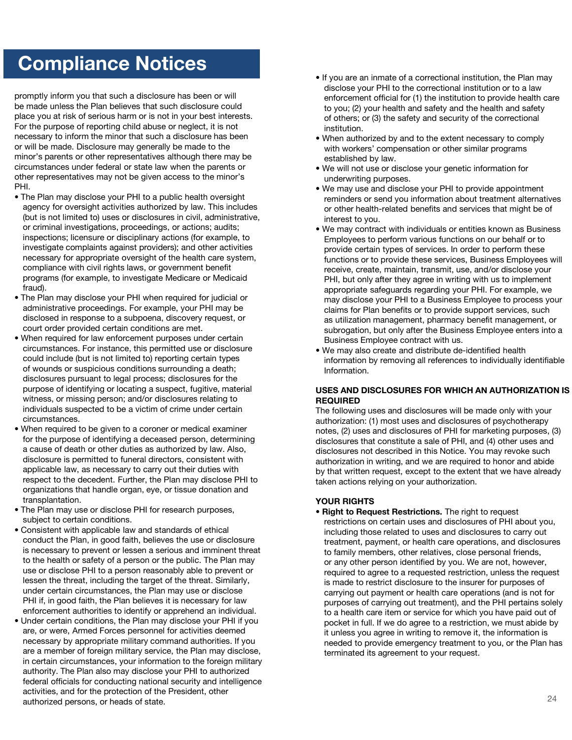promptly inform you that such a disclosure has been or will be made unless the Plan believes that such disclosure could place you at risk of serious harm or is not in your best interests. For the purpose of reporting child abuse or neglect, it is not necessary to inform the minor that such a disclosure has been or will be made. Disclosure may generally be made to the minor's parents or other representatives although there may be circumstances under federal or state law when the parents or other representatives may not be given access to the minor's PHI.

- The Plan may disclose your PHI to a public health oversight agency for oversight activities authorized by law. This includes (but is not limited to) uses or disclosures in civil, administrative, or criminal investigations, proceedings, or actions; audits; inspections; licensure or disciplinary actions (for example, to investigate complaints against providers); and other activities necessary for appropriate oversight of the health care system, compliance with civil rights laws, or government benefit programs (for example, to investigate Medicare or Medicaid fraud).
- The Plan may disclose your PHI when required for judicial or administrative proceedings. For example, your PHI may be disclosed in response to a subpoena, discovery request, or court order provided certain conditions are met.
- When required for law enforcement purposes under certain circumstances. For instance, this permitted use or disclosure could include (but is not limited to) reporting certain types of wounds or suspicious conditions surrounding a death; disclosures pursuant to legal process; disclosures for the purpose of identifying or locating a suspect, fugitive, material witness, or missing person; and/or disclosures relating to individuals suspected to be a victim of crime under certain circumstances.
- When required to be given to a coroner or medical examiner for the purpose of identifying a deceased person, determining a cause of death or other duties as authorized by law. Also, disclosure is permitted to funeral directors, consistent with applicable law, as necessary to carry out their duties with respect to the decedent. Further, the Plan may disclose PHI to organizations that handle organ, eye, or tissue donation and transplantation.
- The Plan may use or disclose PHI for research purposes, subject to certain conditions.
- Consistent with applicable law and standards of ethical conduct the Plan, in good faith, believes the use or disclosure is necessary to prevent or lessen a serious and imminent threat to the health or safety of a person or the public. The Plan may use or disclose PHI to a person reasonably able to prevent or lessen the threat, including the target of the threat. Similarly, under certain circumstances, the Plan may use or disclose PHI if, in good faith, the Plan believes it is necessary for law enforcement authorities to identify or apprehend an individual.
- Under certain conditions, the Plan may disclose your PHI if you are, or were, Armed Forces personnel for activities deemed necessary by appropriate military command authorities. If you are a member of foreign military service, the Plan may disclose, in certain circumstances, your information to the foreign military authority. The Plan also may disclose your PHI to authorized federal officials for conducting national security and intelligence activities, and for the protection of the President, other authorized persons, or heads of state.
- If you are an inmate of a correctional institution, the Plan may disclose your PHI to the correctional institution or to a law enforcement official for (1) the institution to provide health care to you; (2) your health and safety and the health and safety of others; or (3) the safety and security of the correctional institution.
- When authorized by and to the extent necessary to comply with workers' compensation or other similar programs established by law.
- We will not use or disclose your genetic information for underwriting purposes.
- We may use and disclose your PHI to provide appointment reminders or send you information about treatment alternatives or other health-related benefits and services that might be of interest to you.
- We may contract with individuals or entities known as Business Employees to perform various functions on our behalf or to provide certain types of services. In order to perform these functions or to provide these services, Business Employees will receive, create, maintain, transmit, use, and/or disclose your PHI, but only after they agree in writing with us to implement appropriate safeguards regarding your PHI. For example, we may disclose your PHI to a Business Employee to process your claims for Plan benefits or to provide support services, such as utilization management, pharmacy benefit management, or subrogation, but only after the Business Employee enters into a Business Employee contract with us.
- We may also create and distribute de-identified health information by removing all references to individually identifiable Information.

#### USES AND DISCLOSURES FOR WHICH AN AUTHORIZATION IS REQUIRED

The following uses and disclosures will be made only with your authorization: (1) most uses and disclosures of psychotherapy notes, (2) uses and disclosures of PHI for marketing purposes, (3) disclosures that constitute a sale of PHI, and (4) other uses and disclosures not described in this Notice. You may revoke such authorization in writing, and we are required to honor and abide by that written request, except to the extent that we have already taken actions relying on your authorization.

#### YOUR RIGHTS

• Right to Request Restrictions. The right to request restrictions on certain uses and disclosures of PHI about you, including those related to uses and disclosures to carry out treatment, payment, or health care operations, and disclosures to family members, other relatives, close personal friends, or any other person identified by you. We are not, however, required to agree to a requested restriction, unless the request is made to restrict disclosure to the insurer for purposes of carrying out payment or health care operations (and is not for purposes of carrying out treatment), and the PHI pertains solely to a health care item or service for which you have paid out of pocket in full. If we do agree to a restriction, we must abide by it unless you agree in writing to remove it, the information is needed to provide emergency treatment to you, or the Plan has terminated its agreement to your request.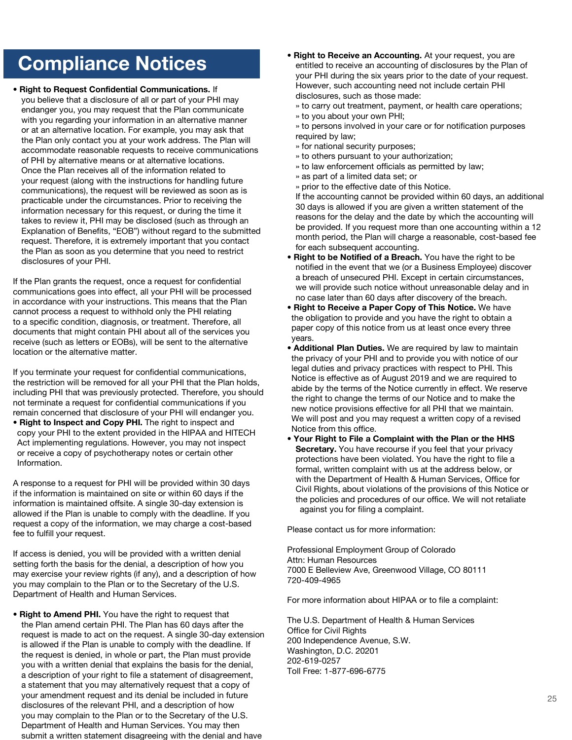• Right to Request Confidential Communications. If

you believe that a disclosure of all or part of your PHI may endanger you, you may request that the Plan communicate with you regarding your information in an alternative manner or at an alternative location. For example, you may ask that the Plan only contact you at your work address. The Plan will accommodate reasonable requests to receive communications of PHI by alternative means or at alternative locations. Once the Plan receives all of the information related to your request (along with the instructions for handling future communications), the request will be reviewed as soon as is practicable under the circumstances. Prior to receiving the information necessary for this request, or during the time it takes to review it, PHI may be disclosed (such as through an Explanation of Benefits, "EOB") without regard to the submitted request. Therefore, it is extremely important that you contact the Plan as soon as you determine that you need to restrict disclosures of your PHI.

If the Plan grants the request, once a request for confidential communications goes into effect, all your PHI will be processed in accordance with your instructions. This means that the Plan cannot process a request to withhold only the PHI relating to a specific condition, diagnosis, or treatment. Therefore, all documents that might contain PHI about all of the services you receive (such as letters or EOBs), will be sent to the alternative location or the alternative matter.

If you terminate your request for confidential communications, the restriction will be removed for all your PHI that the Plan holds, including PHI that was previously protected. Therefore, you should not terminate a request for confidential communications if you remain concerned that disclosure of your PHI will endanger you.

• Right to Inspect and Copy PHI. The right to inspect and copy your PHI to the extent provided in the HIPAA and HITECH Act implementing regulations. However, you may not inspect or receive a copy of psychotherapy notes or certain other Information.

A response to a request for PHI will be provided within 30 days if the information is maintained on site or within 60 days if the information is maintained offsite. A single 30-day extension is allowed if the Plan is unable to comply with the deadline. If you request a copy of the information, we may charge a cost-based fee to fulfill your request.

If access is denied, you will be provided with a written denial setting forth the basis for the denial, a description of how you may exercise your review rights (if any), and a description of how you may complain to the Plan or to the Secretary of the U.S. Department of Health and Human Services.

• Right to Amend PHI. You have the right to request that the Plan amend certain PHI. The Plan has 60 days after the request is made to act on the request. A single 30-day extension is allowed if the Plan is unable to comply with the deadline. If the request is denied, in whole or part, the Plan must provide you with a written denial that explains the basis for the denial, a description of your right to file a statement of disagreement, a statement that you may alternatively request that a copy of your amendment request and its denial be included in future disclosures of the relevant PHI, and a description of how you may complain to the Plan or to the Secretary of the U.S. Department of Health and Human Services. You may then submit a written statement disagreeing with the denial and have

• Right to Receive an Accounting. At your request, you are entitled to receive an accounting of disclosures by the Plan of your PHI during the six years prior to the date of your request. However, such accounting need not include certain PHI disclosures, such as those made:

» to carry out treatment, payment, or health care operations;

- » to you about your own PHI;
- » to persons involved in your care or for notification purposes required by law;
- » for national security purposes;
- » to others pursuant to your authorization;
- » to law enforcement officials as permitted by law;
- » as part of a limited data set; or
- » prior to the effective date of this Notice.

If the accounting cannot be provided within 60 days, an additional 30 days is allowed if you are given a written statement of the reasons for the delay and the date by which the accounting will be provided. If you request more than one accounting within a 12 month period, the Plan will charge a reasonable, cost-based fee for each subsequent accounting.

- Right to be Notified of a Breach. You have the right to be notified in the event that we (or a Business Employee) discover a breach of unsecured PHI. Except in certain circumstances, we will provide such notice without unreasonable delay and in no case later than 60 days after discovery of the breach.
- Right to Receive a Paper Copy of This Notice. We have the obligation to provide and you have the right to obtain a paper copy of this notice from us at least once every three years.
- Additional Plan Duties. We are required by law to maintain the privacy of your PHI and to provide you with notice of our legal duties and privacy practices with respect to PHI. This Notice is effective as of August 2019 and we are required to abide by the terms of the Notice currently in effect. We reserve the right to change the terms of our Notice and to make the new notice provisions effective for all PHI that we maintain. We will post and you may request a written copy of a revised Notice from this office.
- Your Right to File a Complaint with the Plan or the HHS Secretary. You have recourse if you feel that your privacy protections have been violated. You have the right to file a formal, written complaint with us at the address below, or with the Department of Health & Human Services, Office for Civil Rights, about violations of the provisions of this Notice or the policies and procedures of our office. We will not retaliate against you for filing a complaint.

Please contact us for more information:

Professional Employment Group of Colorado Attn: Human Resources 7000 E Belleview Ave, Greenwood Village, CO 80111 720-409-4965

For more information about HIPAA or to file a complaint:

The U.S. Department of Health & Human Services Office for Civil Rights 200 Independence Avenue, S.W. Washington, D.C. 20201 202-619-0257 Toll Free: 1-877-696-6775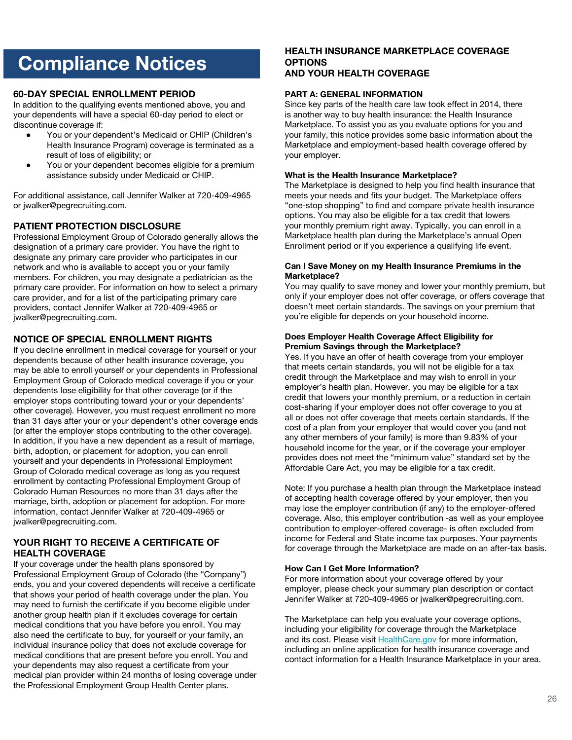#### 60-DAY SPECIAL ENROLLMENT PERIOD

In addition to the qualifying events mentioned above, you and your dependents will have a special 60-day period to elect or discontinue coverage if:

- You or your dependent's Medicaid or CHIP (Children's Health Insurance Program) coverage is terminated as a result of loss of eligibility; or
- You or your dependent becomes eligible for a premium assistance subsidy under Medicaid or CHIP.

For additional assistance, call Jennifer Walker at 720-409-4965 or jwalker@pegrecruiting.com.

#### PATIENT PROTECTION DISCLOSURE

Professional Employment Group of Colorado generally allows the designation of a primary care provider. You have the right to designate any primary care provider who participates in our network and who is available to accept you or your family members. For children, you may designate a pediatrician as the primary care provider. For information on how to select a primary care provider, and for a list of the participating primary care providers, contact Jennifer Walker at 720-409-4965 or jwalker@pegrecruiting.com.

#### NOTICE OF SPECIAL ENROLLMENT RIGHTS

If you decline enrollment in medical coverage for yourself or your dependents because of other health insurance coverage, you may be able to enroll yourself or your dependents in Professional Employment Group of Colorado medical coverage if you or your dependents lose eligibility for that other coverage (or if the employer stops contributing toward your or your dependents' other coverage). However, you must request enrollment no more than 31 days after your or your dependent's other coverage ends (or after the employer stops contributing to the other coverage). In addition, if you have a new dependent as a result of marriage, birth, adoption, or placement for adoption, you can enroll yourself and your dependents in Professional Employment Group of Colorado medical coverage as long as you request enrollment by contacting Professional Employment Group of Colorado Human Resources no more than 31 days after the marriage, birth, adoption or placement for adoption. For more information, contact Jennifer Walker at 720-409-4965 or jwalker@pegrecruiting.com.

#### YOUR RIGHT TO RECEIVE A CERTIFICATE OF HEALTH COVERAGE

If your coverage under the health plans sponsored by Professional Employment Group of Colorado (the "Company") ends, you and your covered dependents will receive a certificate that shows your period of health coverage under the plan. You may need to furnish the certificate if you become eligible under another group health plan if it excludes coverage for certain medical conditions that you have before you enroll. You may also need the certificate to buy, for yourself or your family, an individual insurance policy that does not exclude coverage for medical conditions that are present before you enroll. You and your dependents may also request a certificate from your medical plan provider within 24 months of losing coverage under the Professional Employment Group Health Center plans.

#### HEALTH INSURANCE MARKETPLACE COVERAGE OPTIONS AND YOUR HEALTH COVERAGE

#### PART A: GENERAL INFORMATION

Since key parts of the health care law took effect in 2014, there is another way to buy health insurance: the Health Insurance Marketplace. To assist you as you evaluate options for you and your family, this notice provides some basic information about the Marketplace and employment-based health coverage offered by your employer.

#### What is the Health Insurance Marketplace?

The Marketplace is designed to help you find health insurance that meets your needs and fits your budget. The Marketplace offers "one-stop shopping" to find and compare private health insurance options. You may also be eligible for a tax credit that lowers your monthly premium right away. Typically, you can enroll in a Marketplace health plan during the Marketplace's annual Open Enrollment period or if you experience a qualifying life event.

#### Can I Save Money on my Health Insurance Premiums in the Marketplace?

You may qualify to save money and lower your monthly premium, but only if your employer does not offer coverage, or offers coverage that doesn't meet certain standards. The savings on your premium that you're eligible for depends on your household income.

#### Does Employer Health Coverage Affect Eligibility for Premium Savings through the Marketplace?

Yes. If you have an offer of health coverage from your employer that meets certain standards, you will not be eligible for a tax credit through the Marketplace and may wish to enroll in your employer's health plan. However, you may be eligible for a tax credit that lowers your monthly premium, or a reduction in certain cost-sharing if your employer does not offer coverage to you at all or does not offer coverage that meets certain standards. If the cost of a plan from your employer that would cover you (and not any other members of your family) is more than 9.83% of your household income for the year, or if the coverage your employer provides does not meet the "minimum value" standard set by the Affordable Care Act, you may be eligible for a tax credit. only if your employer does not orier coverage, or oriers coverage match<br>doesn't meet certain standards. The savings on your premium that<br>you're eligible for depends on your household income.<br>Does Employer Health Coverage A

Note: If you purchase a health plan through the Marketplace instead of accepting health coverage offered by your employer, then you may lose the employer contribution (if any) to the employer-offered coverage. Also, this employer contribution -as well as your employee income for Federal and State income tax purposes. Your payments for coverage through the Marketplace are made on an after-tax basis.

#### How Can I Get More Information?

For more information about your coverage offered by your employer, please check your summary plan description or contact Jennifer Walker at 720-409-4965 or jwalker@pegrecruiting.com.

The Marketplace can help you evaluate your coverage options, including your eligibility for coverage through the Marketplace and its cost. Please visit HealthCare.gov for more information, including an online application for health insurance coverage and contact information for a Health Insurance Marketplace in your area.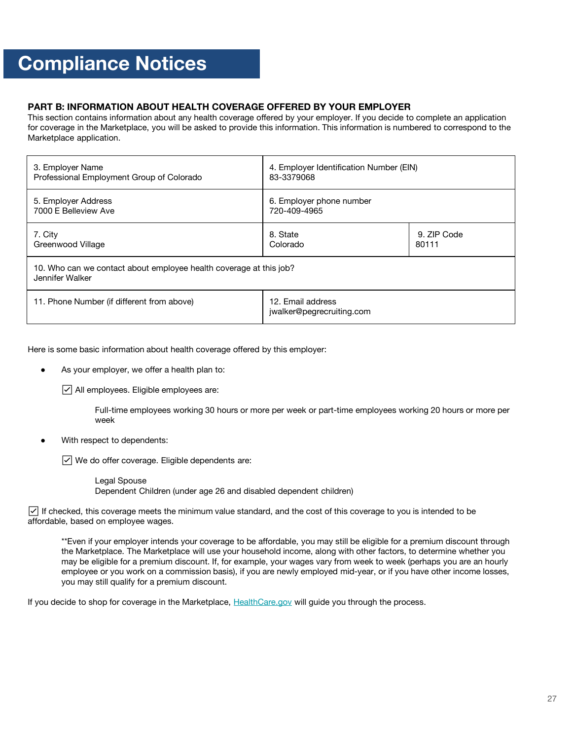#### PART B: INFORMATION ABOUT HEALTH COVERAGE OFFERED BY YOUR EMPLOYER

| <b>Compliance Notices</b>                                                                                                                                                                                                                                                                                           |                                                                                                               |                      |
|---------------------------------------------------------------------------------------------------------------------------------------------------------------------------------------------------------------------------------------------------------------------------------------------------------------------|---------------------------------------------------------------------------------------------------------------|----------------------|
|                                                                                                                                                                                                                                                                                                                     |                                                                                                               |                      |
| This section contains information about any health coverage offered by your employer. If you decide to complete an application<br>for coverage in the Marketplace, you will be asked to provide this information. This information is numbered to correspond to the<br>Marketplace application.<br>3. Employer Name | PART B: INFORMATION ABOUT HEALTH COVERAGE OFFERED BY YOUR EMPLOYER<br>4. Employer Identification Number (EIN) |                      |
| Professional Employment Group of Colorado                                                                                                                                                                                                                                                                           | 83-3379068                                                                                                    |                      |
| 5. Employer Address<br>7000 E Belleview Ave                                                                                                                                                                                                                                                                         | 6. Employer phone number<br>720-409-4965                                                                      |                      |
| 7. City<br>Greenwood Village                                                                                                                                                                                                                                                                                        | 8. State<br>Colorado                                                                                          | 9. ZIP Code<br>80111 |
| 10. Who can we contact about employee health coverage at this job?<br>Jennifer Walker                                                                                                                                                                                                                               |                                                                                                               |                      |

As your employer, we offer a health plan to:

☑ All employees. Eligible employees are:

Full-time employees working 30 hours or more per week or part-time employees working 20 hours or more per week **with a structure of the structure**  $\mathbf{w}$ 

● With respect to dependents:

 $\triangledown$  We do offer coverage. Eligible dependents are:

Legal Spouse Dependent Children (under age 26 and disabled dependent children)

 $\vee$  If checked, this coverage meets the minimum value standard, and the cost of this coverage to you is intended to be affordable, based on employee wages.

\*\*Even if your employer intends your coverage to be affordable, you may still be eligible for a premium discount through the Marketplace. The Marketplace will use your household income, along with other factors, to determine whether you may be eligible for a premium discount. If, for example, your wages vary from week to week (perhaps you are an hourly employee or you work on a commission basis), if you are newly employed mid-year, or if you have other income losses, you may still qualify for a premium discount.

If you decide to shop for coverage in the Marketplace, HealthCare.gov will guide you through the process.